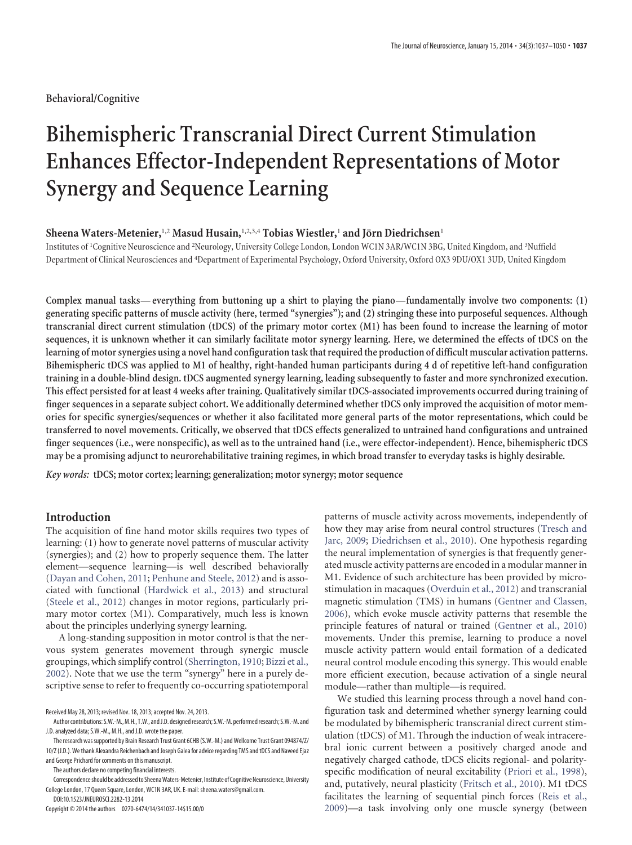**Behavioral/Cognitive**

# **Bihemispheric Transcranial Direct Current Stimulation Enhances Effector-Independent Representations of Motor Synergy and Sequence Learning**

# **Sheena Waters-Metenier,**<sup>1,2</sup> Masud Husain,<sup>1,2,3,4</sup> Tobias Wiestler,<sup>1</sup> and Jörn Diedrichsen<sup>1</sup>

Institutes of <sup>1</sup> Cognitive Neuroscience and <sup>2</sup> Neurology, University College London, London WC1N 3AR/WC1N 3BG, United Kingdom, and <sup>3</sup> Nuffield Department of Clinical Neurosciences and <sup>4</sup> Department of Experimental Psychology, Oxford University, Oxford OX3 9DU/OX1 3UD, United Kingdom

**Complex manual tasks— everything from buttoning up a shirt to playing the piano—fundamentally involve two components: (1) generating specific patterns of muscle activity (here, termed "synergies"); and (2) stringing these into purposeful sequences. Although transcranial direct current stimulation (tDCS) of the primary motor cortex (M1) has been found to increase the learning of motor sequences, it is unknown whether it can similarly facilitate motor synergy learning. Here, we determined the effects of tDCS on the learning of motor synergies using a novel hand configuration task that required the production of difficult muscular activation patterns. Bihemispheric tDCS was applied to M1 of healthy, right-handed human participants during 4 d of repetitive left-hand configuration training in a double-blind design. tDCS augmented synergy learning, leading subsequently to faster and more synchronized execution. This effect persisted for at least 4 weeks after training. Qualitatively similar tDCS-associated improvements occurred during training of finger sequences in a separate subject cohort. We additionally determined whether tDCS only improved the acquisition of motor memories for specific synergies/sequences or whether it also facilitated more general parts of the motor representations, which could be transferred to novel movements. Critically, we observed that tDCS effects generalized to untrained hand configurations and untrained finger sequences (i.e., were nonspecific), as well as to the untrained hand (i.e., were effector-independent). Hence, bihemispheric tDCS may be a promising adjunct to neurorehabilitative training regimes, in which broad transfer to everyday tasks is highly desirable.**

*Key words:* **tDCS; motor cortex; learning; generalization; motor synergy; motor sequence**

# **Introduction**

The acquisition of fine hand motor skills requires two types of learning: (1) how to generate novel patterns of muscular activity (synergies); and (2) how to properly sequence them. The latter element—sequence learning—is well described behaviorally [\(Dayan and Cohen, 2011;](#page-12-0) [Penhune and Steele, 2012\)](#page-12-1) and is associated with functional [\(Hardwick et al., 2013\)](#page-12-2) and structural [\(Steele et al., 2012\)](#page-13-0) changes in motor regions, particularly primary motor cortex (M1). Comparatively, much less is known about the principles underlying synergy learning.

A long-standing supposition in motor control is that the nervous system generates movement through synergic muscle groupings, which simplify control [\(Sherrington, 1910;](#page-13-1) [Bizzi et al.,](#page-11-0) [2002\)](#page-11-0). Note that we use the term "synergy" here in a purely descriptive sense to refer to frequently co-occurring spatiotemporal

The authors declare no competing financial interests.

Copyright © 2014 the authors 0270-6474/14/341037-14\$15.00/0

patterns of muscle activity across movements, independently of how they may arise from neural control structures [\(Tresch and](#page-13-2) [Jarc, 2009;](#page-13-2) [Diedrichsen et al., 2010\)](#page-12-3). One hypothesis regarding the neural implementation of synergies is that frequently generated muscle activity patterns are encoded in a modular manner in M1. Evidence of such architecture has been provided by microstimulation in macaques [\(Overduin et al., 2012\)](#page-12-4) and transcranial magnetic stimulation (TMS) in humans [\(Gentner and Classen,](#page-12-5) [2006\)](#page-12-5), which evoke muscle activity patterns that resemble the principle features of natural or trained [\(Gentner et al., 2010\)](#page-12-6) movements. Under this premise, learning to produce a novel muscle activity pattern would entail formation of a dedicated neural control module encoding this synergy. This would enable more efficient execution, because activation of a single neural module—rather than multiple—is required.

We studied this learning process through a novel hand configuration task and determined whether synergy learning could be modulated by bihemispheric transcranial direct current stimulation (tDCS) of M1. Through the induction of weak intracerebral ionic current between a positively charged anode and negatively charged cathode, tDCS elicits regional- and polarityspecific modification of neural excitability [\(Priori et al., 1998\)](#page-12-7), and, putatively, neural plasticity [\(Fritsch et al., 2010\)](#page-12-8). M1 tDCS facilitates the learning of sequential pinch forces [\(Reis et al.,](#page-12-9) [2009\)](#page-12-9)—a task involving only one muscle synergy (between

Received May 28, 2013; revised Nov. 18, 2013; accepted Nov. 24, 2013.

Author contributions: S.W.-M., M.H., T.W., and J.D. designed research; S.W.-M. performed research; S.W.-M. and J.D. analyzed data; S.W.-M., M.H., and J.D. wrote the paper.

The research wassupported by Brain Research Trust Grant 6CHB (S.W.-M.) and Wellcome Trust Grant 094874/Z/ 10/Z (J.D.). We thank Alexandra Reichenbach and Joseph Galea for advice regarding TMS and tDCS and Naveed Ejaz and George Prichard for comments on this manuscript.

Correspondence should be addressed to Sheena Waters-Metenier, Institute of Cognitive Neuroscience, University College London, 17 Queen Square, London, WC1N 3AR, UK. E-mail: sheena.waters@gmail.com. DOI:10.1523/JNEUROSCI.2282-13.2014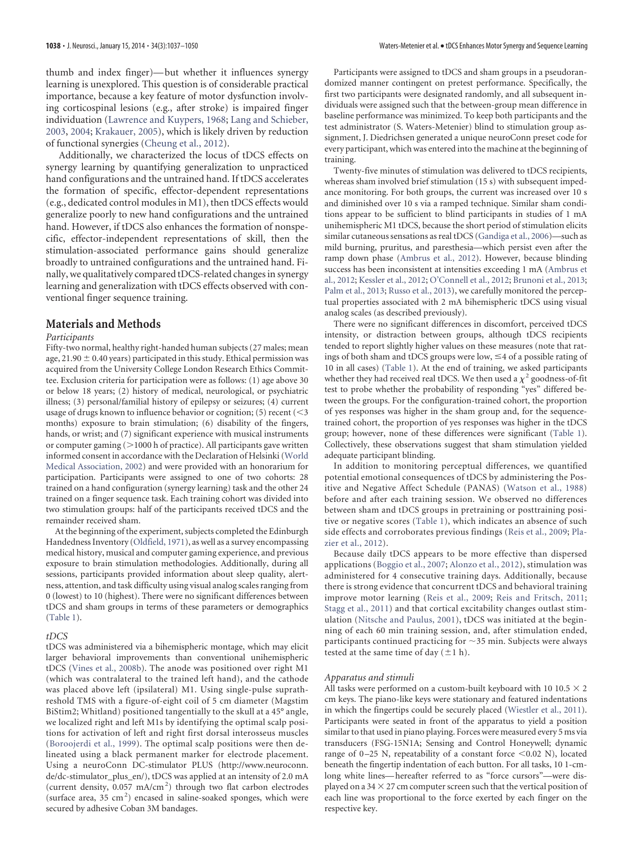thumb and index finger)— but whether it influences synergy learning is unexplored. This question is of considerable practical importance, because a key feature of motor dysfunction involving corticospinal lesions (e.g., after stroke) is impaired finger individuation [\(Lawrence and Kuypers, 1968;](#page-12-10) [Lang and Schieber,](#page-12-11) [2003,](#page-12-11) [2004;](#page-12-12) [Krakauer, 2005\)](#page-12-13), which is likely driven by reduction of functional synergies [\(Cheung et al., 2012\)](#page-12-14).

Additionally, we characterized the locus of tDCS effects on synergy learning by quantifying generalization to unpracticed hand configurations and the untrained hand. If tDCS accelerates the formation of specific, effector-dependent representations (e.g., dedicated control modules in M1), then tDCS effects would generalize poorly to new hand configurations and the untrained hand. However, if tDCS also enhances the formation of nonspecific, effector-independent representations of skill, then the stimulation-associated performance gains should generalize broadly to untrained configurations and the untrained hand. Finally, we qualitatively compared tDCS-related changes in synergy learning and generalization with tDCS effects observed with conventional finger sequence training.

# **Materials and Methods**

#### *Participants*

Fifty-two normal, healthy right-handed human subjects (27 males; mean age, 21.90  $\pm$  0.40 years) participated in this study. Ethical permission was acquired from the University College London Research Ethics Committee. Exclusion criteria for participation were as follows: (1) age above 30 or below 18 years; (2) history of medical, neurological, or psychiatric illness; (3) personal/familial history of epilepsy or seizures; (4) current usage of drugs known to influence behavior or cognition; (5) recent  $(<$ 3 months) exposure to brain stimulation; (6) disability of the fingers, hands, or wrist; and (7) significant experience with musical instruments or computer gaming  $(>1000$  h of practice). All participants gave written informed consent in accordance with the Declaration of Helsinki [\(World](#page-13-3) [Medical Association, 2002\)](#page-13-3) and were provided with an honorarium for participation. Participants were assigned to one of two cohorts: 28 trained on a hand configuration (synergy learning) task and the other 24 trained on a finger sequence task. Each training cohort was divided into two stimulation groups: half of the participants received tDCS and the remainder received sham.

At the beginning of the experiment, subjects completed the Edinburgh Handedness Inventory [\(Oldfield, 1971\)](#page-12-15), as well as a survey encompassing medical history, musical and computer gaming experience, and previous exposure to brain stimulation methodologies. Additionally, during all sessions, participants provided information about sleep quality, alertness, attention, and task difficulty using visual analog scales ranging from 0 (lowest) to 10 (highest). There were no significant differences between tDCS and sham groups in terms of these parameters or demographics [\(Table 1\)](#page-2-0).

#### *tDCS*

tDCS was administered via a bihemispheric montage, which may elicit larger behavioral improvements than conventional unihemispheric tDCS [\(Vines et al., 2008b\)](#page-13-4). The anode was positioned over right M1 (which was contralateral to the trained left hand), and the cathode was placed above left (ipsilateral) M1. Using single-pulse suprathreshold TMS with a figure-of-eight coil of 5 cm diameter (Magstim BiStim2; Whitland) positioned tangentially to the skull at a 45° angle, we localized right and left M1s by identifying the optimal scalp positions for activation of left and right first dorsal interosseus muscles [\(Boroojerdi et al., 1999\)](#page-11-1). The optimal scalp positions were then delineated using a black permanent marker for electrode placement. Using a neuroConn DC-stimulator PLUS [\(http://www.neuroconn.](http://www.neuroconn.de/dc-stimulator_plus_en/) [de/dc-stimulator\\_plus\\_en/\)](http://www.neuroconn.de/dc-stimulator_plus_en/), tDCS was applied at an intensity of 2.0 mA (current density, 0.057 mA/cm<sup>2</sup>) through two flat carbon electrodes (surface area,  $35 \text{ cm}^2$ ) encased in saline-soaked sponges, which were secured by adhesive Coban 3M bandages.

Participants were assigned to tDCS and sham groups in a pseudorandomized manner contingent on pretest performance. Specifically, the first two participants were designated randomly, and all subsequent individuals were assigned such that the between-group mean difference in baseline performance was minimized. To keep both participants and the test administrator (S. Waters-Metenier) blind to stimulation group assignment, J. Diedrichsen generated a unique neuroConn preset code for every participant, which was entered into the machine at the beginning of training.

Twenty-five minutes of stimulation was delivered to tDCS recipients, whereas sham involved brief stimulation (15 s) with subsequent impedance monitoring. For both groups, the current was increased over 10 s and diminished over 10 s via a ramped technique. Similar sham conditions appear to be sufficient to blind participants in studies of 1 mA unihemispheric M1 tDCS, because the short period of stimulation elicits similar cutaneous sensations as real tDCS [\(Gandiga et al., 2006\)](#page-12-16)—such as mild burning, pruritus, and paresthesia—which persist even after the ramp down phase [\(Ambrus et al., 2012\)](#page-11-2). However, because blinding success has been inconsistent at intensities exceeding 1 mA [\(Ambrus et](#page-11-2) [al., 2012;](#page-11-2) [Kessler et al., 2012;](#page-12-17) [O'Connell et al., 2012;](#page-12-18) [Brunoni et al., 2013;](#page-11-3) [Palm et al., 2013;](#page-12-19) [Russo et al., 2013\)](#page-13-5), we carefully monitored the perceptual properties associated with 2 mA bihemispheric tDCS using visual analog scales (as described previously).

There were no significant differences in discomfort, perceived tDCS intensity, or distraction between groups, although tDCS recipients tended to report slightly higher values on these measures (note that ratings of both sham and tDCS groups were low,  $\leq$ 4 of a possible rating of 10 in all cases) [\(Table 1\)](#page-2-0). At the end of training, we asked participants whether they had received real tDCS. We then used a  $\chi^2$  goodness-of-fit test to probe whether the probability of responding "yes" differed between the groups. For the configuration-trained cohort, the proportion of yes responses was higher in the sham group and, for the sequencetrained cohort, the proportion of yes responses was higher in the tDCS group; however, none of these differences were significant [\(Table 1\)](#page-2-0). Collectively, these observations suggest that sham stimulation yielded adequate participant blinding.

In addition to monitoring perceptual differences, we quantified potential emotional consequences of tDCS by administering the Positive and Negative Affect Schedule (PANAS) [\(Watson et al., 1988\)](#page-13-6) before and after each training session. We observed no differences between sham and tDCS groups in pretraining or posttraining positive or negative scores [\(Table 1\)](#page-2-0), which indicates an absence of such side effects and corroborates previous findings [\(Reis et al., 2009;](#page-12-9) [Pla](#page-12-20)[zier et al., 2012\)](#page-12-20).

Because daily tDCS appears to be more effective than dispersed applications [\(Boggio et al., 2007;](#page-11-4) [Alonzo et al., 2012\)](#page-11-5), stimulation was administered for 4 consecutive training days. Additionally, because there is strong evidence that concurrent tDCS and behavioral training improve motor learning [\(Reis et al., 2009;](#page-12-9) [Reis and Fritsch, 2011;](#page-12-21) [Stagg et al., 2011\)](#page-13-7) and that cortical excitability changes outlast stimulation [\(Nitsche and Paulus, 2001\)](#page-12-22), tDCS was initiated at the beginning of each 60 min training session, and, after stimulation ended, participants continued practicing for  $\sim$ 35 min. Subjects were always tested at the same time of day  $(\pm 1 \text{ h})$ .

#### *Apparatus and stimuli*

All tasks were performed on a custom-built keyboard with 10 10.5  $\times$  2 cm keys. The piano-like keys were stationary and featured indentations in which the fingertips could be securely placed [\(Wiestler et al., 2011\)](#page-13-8). Participants were seated in front of the apparatus to yield a position similar to that used in piano playing. Forces were measured every 5 ms via transducers (FSG-15N1A; Sensing and Control Honeywell; dynamic range of 0-25 N, repeatability of a constant force  $\leq 0.02$  N), located beneath the fingertip indentation of each button. For all tasks, 10 1-cmlong white lines— hereafter referred to as "force cursors"—were displayed on a 34  $\times$  27 cm computer screen such that the vertical position of each line was proportional to the force exerted by each finger on the respective key.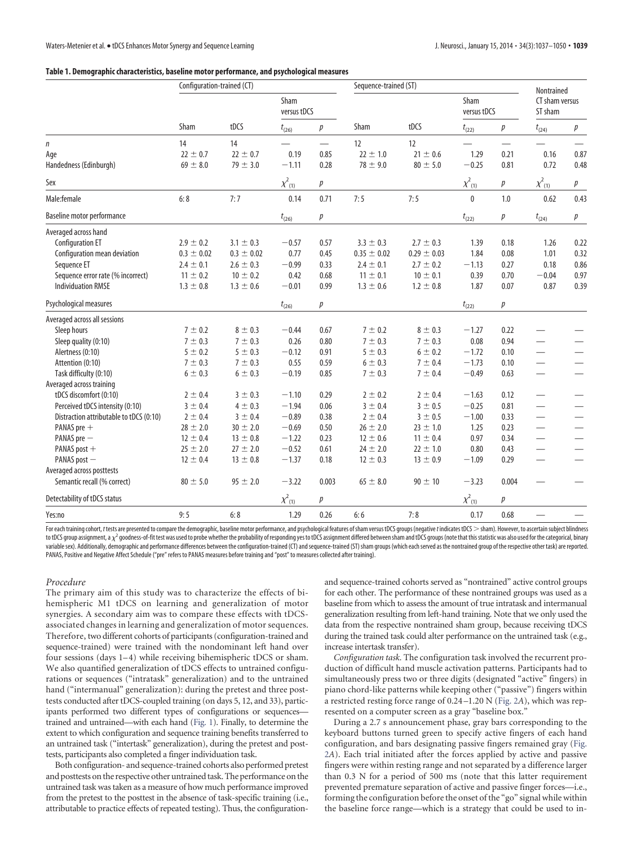#### <span id="page-2-0"></span>**Table 1. Demographic characteristics, baseline motor performance, and psychological measures**

|                                                          | Configuration-trained (CT) |                |                     |                          | Sequence-trained (ST) |                 |                     |       | Nontrained                |                          |
|----------------------------------------------------------|----------------------------|----------------|---------------------|--------------------------|-----------------------|-----------------|---------------------|-------|---------------------------|--------------------------|
|                                                          | Sham                       | tDCS           | Sham<br>versus tDCS |                          |                       |                 | Sham<br>versus tDCS |       | CT sham versus<br>ST sham |                          |
|                                                          |                            |                | $t_{(26)}$          | р                        | Sham                  | tDCS            | $t_{(22)}$          | р     | $t_{(24)}$                | р                        |
| n                                                        | 14                         | 14             |                     | $\overline{\phantom{0}}$ | 12                    | 12              |                     |       |                           |                          |
| Age                                                      | $22 \pm 0.7$               | $22 \pm 0.7$   | 0.19                | 0.85                     | $22 \pm 1.0$          | $21 \pm 0.6$    | 1.29                | 0.21  | 0.16                      | 0.87                     |
| Handedness (Edinburgh)                                   | $69 \pm 8.0$               | $79 \pm 3.0$   | $-1.11$             | 0.28                     | $78 \pm 9.0$          | $80 \pm 5.0$    | $-0.25$             | 0.81  | 0.72                      | 0.48                     |
| Sex                                                      |                            |                | $\chi^{2}_{(1)}$    | р                        |                       |                 | $\chi^2_{(1)}$      | р     | $\chi^{2}_{(1)}$          | р                        |
| Male:female                                              | 6:8                        | 7:7            | 0.14                | 0.71                     | 7:5                   | 7:5             | $\mathbf{0}$        | 1.0   | 0.62                      | 0.43                     |
| Baseline motor performance                               |                            |                | $t_{(26)}$          | р                        |                       |                 | $t_{(22)}$          | р     | $t_{(24)}$                | $p_{\parallel}$          |
| Averaged across hand                                     |                            |                |                     |                          |                       |                 |                     |       |                           |                          |
| <b>Configuration ET</b>                                  | $2.9 \pm 0.2$              | $3.1 \pm 0.3$  | $-0.57$             | 0.57                     | $3.3 \pm 0.3$         | $2.7 \pm 0.3$   | 1.39                | 0.18  | 1.26                      | 0.22                     |
| Configuration mean deviation                             | $0.3 \pm 0.02$             | $0.3 \pm 0.02$ | 0.77                | 0.45                     | $0.35 \pm 0.02$       | $0.29 \pm 0.03$ | 1.84                | 0.08  | 1.01                      | 0.32                     |
| Sequence ET                                              | $2.4 \pm 0.1$              | $2.6 \pm 0.3$  | $-0.99$             | 0.33                     | $2.4 \pm 0.1$         | $2.7 \pm 0.2$   | $-1.13$             | 0.27  | 0.18                      | 0.86                     |
| Sequence error rate (% incorrect)                        | $11 \pm 0.2$               | $10 \pm 0.2$   | 0.42                | 0.68                     | $11 \pm 0.1$          | $10 \pm 0.1$    | 0.39                | 0.70  | $-0.04$                   | 0.97                     |
| <b>Individuation RMSE</b>                                | $1.3 \pm 0.8$              | $1.3 \pm 0.6$  | $-0.01$             | 0.99                     | $1.3 \pm 0.6$         | $1.2 \pm 0.8$   | 1.87                | 0.07  | 0.87                      | 0.39                     |
| Psychological measures                                   |                            |                | $t_{(26)}$          | р                        |                       |                 | $t_{(22)}$          | р     |                           |                          |
| Averaged across all sessions                             |                            |                |                     |                          |                       |                 |                     |       |                           |                          |
| Sleep hours                                              | $7 \pm 0.2$                | $8 \pm 0.3$    | $-0.44$             | 0.67                     | $7 \pm 0.2$           | $8 \pm 0.3$     | $-1.27$             | 0.22  |                           |                          |
| Sleep quality (0:10)                                     | $7 \pm 0.3$                | $7 \pm 0.3$    | 0.26                | 0.80                     | $7 \pm 0.3$           | $7 \pm 0.3$     | 0.08                | 0.94  | $\overline{\phantom{0}}$  |                          |
| Alertness (0:10)                                         | $5 \pm 0.2$                | $5 \pm 0.3$    | $-0.12$             | 0.91                     | 5 ± 0.3               | $6\pm0.2$       | $-1.72$             | 0.10  | $\overline{\phantom{0}}$  |                          |
| Attention (0:10)                                         | $7 \pm 0.3$                | $7 \pm 0.3$    | 0.55                | 0.59                     | $6\pm0.3$             | $7 \pm 0.4$     | $-1.73$             | 0.10  | $\overline{\phantom{0}}$  |                          |
| Task difficulty (0:10)                                   | $6\pm0.3$                  | $6 \pm 0.3$    | $-0.19$             | 0.85                     | $7 \pm 0.3$           | $7 \pm 0.4$     | $-0.49$             | 0.63  | $\overline{\phantom{0}}$  | $\overline{\phantom{0}}$ |
| Averaged across training                                 |                            |                |                     |                          |                       |                 |                     |       |                           |                          |
| tDCS discomfort (0:10)                                   | $2 \pm 0.4$                | $3 \pm 0.3$    | $-1.10$             | 0.29                     | $2 \pm 0.2$           | $2 \pm 0.4$     | $-1.63$             | 0.12  | $\overline{\phantom{0}}$  |                          |
| Perceived tDCS intensity (0:10)                          | 3 ± 0.4                    | $4 \pm 0.3$    | $-1.94$             | 0.06                     | 3 ± 0.4               | 3 ± 0.5         | $-0.25$             | 0.81  | $\overline{\phantom{0}}$  |                          |
| Distraction attributable to tDCS (0:10)                  | $2 \pm 0.4$                | 3 ± 0.4        | $-0.89$             | 0.38                     | 2 ± 0.4               | 3 ± 0.5         | $-1.00$             | 0.33  | $\overline{\phantom{0}}$  |                          |
| PANAS pre +                                              | $28 \pm 2.0$               | $30 \pm 2.0$   | $-0.69$             | 0.50                     | $26 \pm 2.0$          | $23 \pm 1.0$    | 1.25                | 0.23  | $\overline{\phantom{0}}$  |                          |
| PANAS pre -                                              | $12 \pm 0.4$               | $13 \pm 0.8$   | $-1.22$             | 0.23                     | $12 \pm 0.6$          | $11 \pm 0.4$    | 0.97                | 0.34  | $\overline{\phantom{0}}$  | $\overline{\phantom{0}}$ |
| PANAS post +                                             | $25 \pm 2.0$               | $27 \pm 2.0$   | $-0.52$             | 0.61                     | $24 \pm 2.0$          | $22 \pm 1.0$    | 0.80                | 0.43  | $\overline{\phantom{0}}$  |                          |
| PANAS post -                                             | $12 \pm 0.4$               | $13 \pm 0.8$   | $-1.37$             | 0.18                     | $12 \pm 0.3$          | $13 \pm 0.9$    | $-1.09$             | 0.29  |                           |                          |
| Averaged across posttests<br>Semantic recall (% correct) | $80 \pm 5.0$               | $95 \pm 2.0$   | $-3.22$             | 0.003                    | $65 \pm 8.0$          | $90 \pm 10$     | $-3.23$             | 0.004 |                           |                          |
|                                                          |                            |                |                     |                          |                       |                 |                     |       |                           |                          |
| Detectability of tDCS status                             |                            |                | $\chi^{2}{}_{(1)}$  | p                        |                       |                 | $\chi^{2}{}_{(1)}$  | р     |                           |                          |
| Yes:no                                                   | 9:5                        | 6:8            | 1.29                | 0.26                     | 6:6                   | 7:8             | 0.17                | 0.68  |                           |                          |

For each training cohort, t tests are presented to compare the demographic, baseline motor performance, and psychological features of sham versus tDCS groups (negative t indicates tDCS > sham). However, to ascertain subjec to tDCS group assignment, a x<sup>2</sup> goodness-of-fit test was used to probe whether the probability of responding yes to tDCS assignment differed between sham and tDCS groups (note that this statistic was also used for the cat variable sex). Additionally, demographic and performance differences between the configuration-trained (CT) and sequence-trained (ST) sham groups (which each served as the nontrained group of the respective other task) are PANAS, Positive and Negative Affect Schedule ("pre" refers to PANAS measures before training and "post" to measures collected after training).

#### *Procedure*

The primary aim of this study was to characterize the effects of bihemispheric M1 tDCS on learning and generalization of motor synergies. A secondary aim was to compare these effects with tDCSassociated changes in learning and generalization of motor sequences. Therefore, two different cohorts of participants (configuration-trained and sequence-trained) were trained with the nondominant left hand over four sessions (days 1-4) while receiving bihemispheric tDCS or sham. We also quantified generalization of tDCS effects to untrained configurations or sequences ("intratask" generalization) and to the untrained hand ("intermanual" generalization): during the pretest and three posttests conducted after tDCS-coupled training (on days 5, 12, and 33), participants performed two different types of configurations or sequences trained and untrained—with each hand [\(Fig. 1\)](#page-3-0). Finally, to determine the extent to which configuration and sequence training benefits transferred to an untrained task ("intertask" generalization), during the pretest and posttests, participants also completed a finger individuation task.

Both configuration- and sequence-trained cohorts also performed pretest and posttests on the respective other untrained task. The performance on the untrained task was taken as a measure of how much performance improved from the pretest to the posttest in the absence of task-specific training (i.e., attributable to practice effects of repeated testing). Thus, the configurationand sequence-trained cohorts served as "nontrained" active control groups for each other. The performance of these nontrained groups was used as a baseline from which to assess the amount of true intratask and intermanual generalization resulting from left-hand training. Note that we only used the data from the respective nontrained sham group, because receiving tDCS during the trained task could alter performance on the untrained task (e.g., increase intertask transfer).

*Configuration task.* The configuration task involved the recurrent production of difficult hand muscle activation patterns. Participants had to simultaneously press two or three digits (designated "active" fingers) in piano chord-like patterns while keeping other ("passive") fingers within a restricted resting force range of 0.24 –1.20 N [\(Fig. 2](#page-4-0)*A*), which was represented on a computer screen as a gray "baseline box."

During a 2.7 s announcement phase, gray bars corresponding to the keyboard buttons turned green to specify active fingers of each hand configuration, and bars designating passive fingers remained gray [\(Fig.](#page-4-0) [2](#page-4-0)*A*). Each trial initiated after the forces applied by active and passive fingers were within resting range and not separated by a difference larger than 0.3 N for a period of 500 ms (note that this latter requirement prevented premature separation of active and passive finger forces—i.e., forming the configuration before the onset of the "go" signal while within the baseline force range—which is a strategy that could be used to in-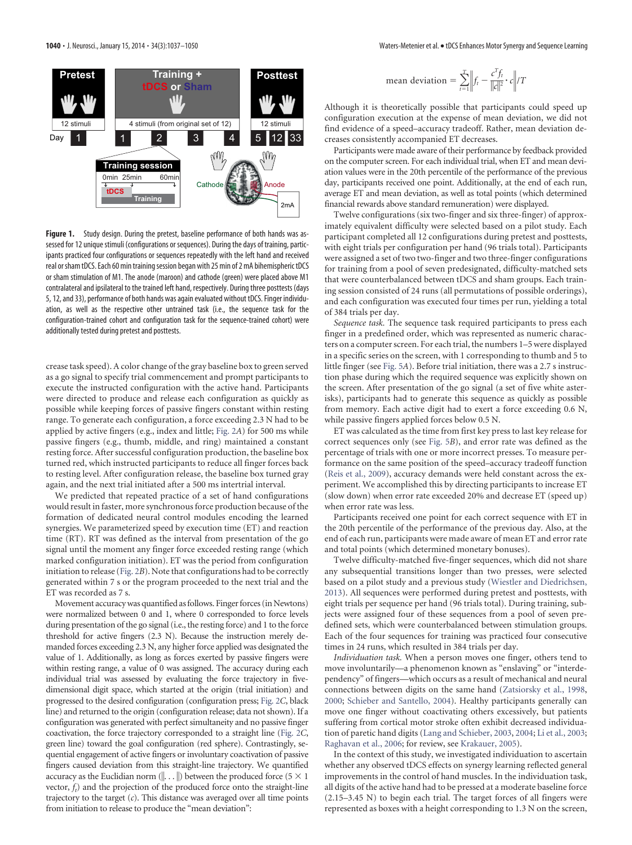

<span id="page-3-0"></span>**Figure 1.** Study design. During the pretest, baseline performance of both hands was assessed for 12 unique stimuli (configurations or sequences). During the days of training, participants practiced four configurations or sequences repeatedly with the left hand and received real or sham tDCS. Each 60 min training session began with 25 min of 2 mA bihemispheric tDCS or sham stimulation of M1. The anode (maroon) and cathode (green) were placed above M1 contralateral and ipsilateral to the trained left hand, respectively. During three posttests (days 5, 12, and 33), performance of both hands was again evaluated without tDCS. Finger individuation, as well as the respective other untrained task (i.e., the sequence task for the configuration-trained cohort and configuration task for the sequence-trained cohort) were additionally tested during pretest and posttests.

crease task speed). A color change of the gray baseline box to green served as a go signal to specify trial commencement and prompt participants to execute the instructed configuration with the active hand. Participants were directed to produce and release each configuration as quickly as possible while keeping forces of passive fingers constant within resting range. To generate each configuration, a force exceeding 2.3 N had to be applied by active fingers (e.g., index and little; [Fig. 2](#page-4-0)*A*) for 500 ms while passive fingers (e.g., thumb, middle, and ring) maintained a constant resting force. After successful configuration production, the baseline box turned red, which instructed participants to reduce all finger forces back to resting level. After configuration release, the baseline box turned gray again, and the next trial initiated after a 500 ms intertrial interval.

We predicted that repeated practice of a set of hand configurations would result in faster, more synchronous force production because of the formation of dedicated neural control modules encoding the learned synergies. We parameterized speed by execution time (ET) and reaction time (RT). RT was defined as the interval from presentation of the go signal until the moment any finger force exceeded resting range (which marked configuration initiation). ET was the period from configuration initiation to release [\(Fig. 2](#page-4-0)*B*). Note that configurations had to be correctly generated within 7 s or the program proceeded to the next trial and the ET was recorded as 7 s.

Movement accuracy was quantified as follows. Finger forces (in Newtons) were normalized between 0 and 1, where 0 corresponded to force levels during presentation of the go signal (i.e., the resting force) and 1 to the force threshold for active fingers (2.3 N). Because the instruction merely demanded forces exceeding 2.3 N, any higher force applied was designated the value of 1. Additionally, as long as forces exerted by passive fingers were within resting range, a value of 0 was assigned. The accuracy during each individual trial was assessed by evaluating the force trajectory in fivedimensional digit space, which started at the origin (trial initiation) and progressed to the desired configuration (configuration press; [Fig. 2](#page-4-0)*C*, black line) and returned to the origin (configuration release; data not shown). If a configuration was generated with perfect simultaneity and no passive finger coactivation, the force trajectory corresponded to a straight line [\(Fig. 2](#page-4-0)*C*, green line) toward the goal configuration (red sphere). Contrastingly, sequential engagement of active fingers or involuntary coactivation of passive fingers caused deviation from this straight-line trajectory. We quantified accuracy as the Euclidian norm ( $\| \ldots \|$ ) between the produced force (5  $\times$  1  $vector, f_t$ ) and the projection of the produced force onto the straight-line trajectory to the target (*c*). This distance was averaged over all time points from initiation to release to produce the "mean deviation":

$$
\text{mean deviation} = \sum_{t=1}^{T} \left\| f_t - \frac{c^T f_t}{\|c\|^2} \cdot c \right\| / T
$$

Although it is theoretically possible that participants could speed up configuration execution at the expense of mean deviation, we did not find evidence of a speed–accuracy tradeoff. Rather, mean deviation decreases consistently accompanied ET decreases.

Participants were made aware of their performance by feedback provided on the computer screen. For each individual trial, when ET and mean deviation values were in the 20th percentile of the performance of the previous day, participants received one point. Additionally, at the end of each run, average ET and mean deviation, as well as total points (which determined financial rewards above standard remuneration) were displayed.

Twelve configurations (six two-finger and six three-finger) of approximately equivalent difficulty were selected based on a pilot study. Each participant completed all 12 configurations during pretest and posttests, with eight trials per configuration per hand (96 trials total). Participants were assigned a set of two two-finger and two three-finger configurations for training from a pool of seven predesignated, difficulty-matched sets that were counterbalanced between tDCS and sham groups. Each training session consisted of 24 runs (all permutations of possible orderings), and each configuration was executed four times per run, yielding a total of 384 trials per day.

*Sequence task.* The sequence task required participants to press each finger in a predefined order, which was represented as numeric characters on a computer screen. For each trial, the numbers 1–5 were displayed in a specific series on the screen, with 1 corresponding to thumb and 5 to little finger (see [Fig. 5](#page-9-0)*A*). Before trial initiation, there was a 2.7 s instruction phase during which the required sequence was explicitly shown on the screen. After presentation of the go signal (a set of five white asterisks), participants had to generate this sequence as quickly as possible from memory. Each active digit had to exert a force exceeding 0.6 N, while passive fingers applied forces below 0.5 N.

ET was calculated as the time from first key press to last key release for correct sequences only (see [Fig. 5](#page-9-0)*B*), and error rate was defined as the percentage of trials with one or more incorrect presses. To measure performance on the same position of the speed–accuracy tradeoff function [\(Reis et al., 2009\)](#page-12-9), accuracy demands were held constant across the experiment. We accomplished this by directing participants to increase ET (slow down) when error rate exceeded 20% and decrease ET (speed up) when error rate was less.

Participants received one point for each correct sequence with ET in the 20th percentile of the performance of the previous day. Also, at the end of each run, participants were made aware of mean ET and error rate and total points (which determined monetary bonuses).

Twelve difficulty-matched five-finger sequences, which did not share any subsequential transitions longer than two presses, were selected based on a pilot study and a previous study [\(Wiestler and Diedrichsen,](#page-13-9) [2013\)](#page-13-9). All sequences were performed during pretest and posttests, with eight trials per sequence per hand (96 trials total). During training, subjects were assigned four of these sequences from a pool of seven predefined sets, which were counterbalanced between stimulation groups. Each of the four sequences for training was practiced four consecutive times in 24 runs, which resulted in 384 trials per day.

*Individuation task.* When a person moves one finger, others tend to move involuntarily—a phenomenon known as "enslaving" or "interdependency" of fingers—which occurs as a result of mechanical and neural connections between digits on the same hand [\(Zatsiorsky et al., 1998,](#page-13-10) [2000;](#page-13-11) [Schieber and Santello, 2004\)](#page-13-12). Healthy participants generally can move one finger without coactivating others excessively, but patients suffering from cortical motor stroke often exhibit decreased individuation of paretic hand digits [\(Lang and Schieber, 2003,](#page-12-11) [2004;](#page-12-12) [Li et al., 2003;](#page-12-23) [Raghavan et al., 2006;](#page-12-24) for review, see [Krakauer, 2005\)](#page-12-13).

In the context of this study, we investigated individuation to ascertain whether any observed tDCS effects on synergy learning reflected general improvements in the control of hand muscles. In the individuation task, all digits of the active hand had to be pressed at a moderate baseline force (2.15–3.45 N) to begin each trial. The target forces of all fingers were represented as boxes with a height corresponding to 1.3 N on the screen,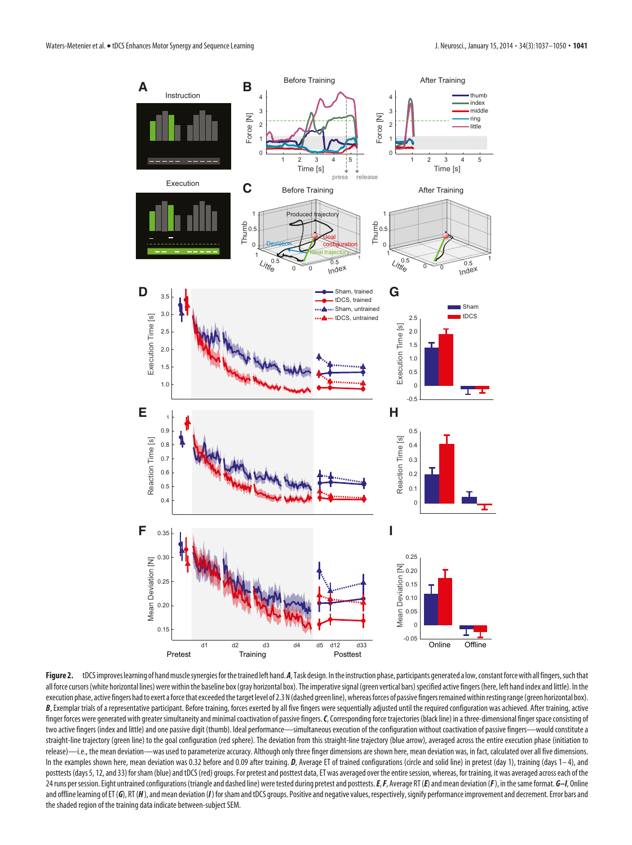

<span id="page-4-0"></span>Figure 2. tDCS improves learning of hand muscle synergies for the trained left hand. A, Task design. In the instruction phase, participants generated a low, constant force with all fingers, such that all force cursors (white horizontal lines) were within the baseline box (gray horizontal box). The imperative signal (green vertical bars) specified active fingers (here, left hand index and little). In the execution phase, active fingers had to exert a force that exceeded the target level of 2.3 N (dashed green line), whereas forces of passive fingers remained within resting range (green horizontal box). B, Exemplar trials of a representative participant. Before training, forces exerted by all five fingers were sequentially adjusted until the required configuration was achieved. After training, active finger forces were generated with greater simultaneity and minimal coactivation of passive fingers. C, Corresponding force trajectories (black line) in a three-dimensional finger space consisting of two active fingers (index and little) and one passive digit (thumb). Ideal performance—simultaneous execution of the configuration without coactivation of passive fingers—would constitute a straight-line trajectory (green line) to the goal configuration (red sphere). The deviation from this straight-line trajectory (blue arrow), averaged across the entire execution phase (initiation to release)—i.e., the mean deviation—was used to parameterize accuracy. Although only three finger dimensions are shown here, mean deviation was, in fact, calculated over all five dimensions. In the examples shown here, mean deviation was 0.32 before and 0.09 after training. *D*, Average ET of trained configurations (circle and solid line) in pretest (day 1), training (days 1–4), and posttests (days 5, 12, and 33) for sham (blue) and tDCS (red) groups. For pretest and posttest data, ET was averaged over the entire session, whereas, for training, it was averaged across each of the 24 runs per session. Eight untrained configurations (triangle and dashed line) were tested during pretest and posttests. E, F, Average RT (E) and mean deviation (F), in the same format. 6–I, Online and offline learning of ET (G), RT (H), and mean deviation (*I*) for sham and tDCS groups. Positive and negative values, respectively, signify performance improvement and decrement. Error bars and the shaded region of the training data indicate between-subject SEM.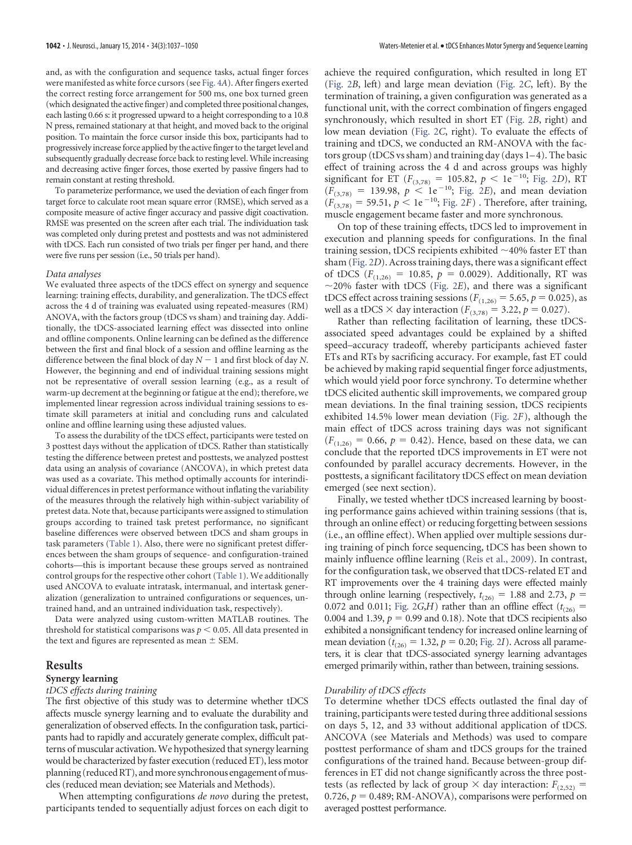and, as with the configuration and sequence tasks, actual finger forces were manifested as white force cursors (see [Fig. 4](#page-7-0)*A*). After fingers exerted the correct resting force arrangement for 500 ms, one box turned green (which designated the activefinger) and completed three positional changes, each lasting 0.66 s: it progressed upward to a height corresponding to a 10.8 N press, remained stationary at that height, and moved back to the original position. To maintain the force cursor inside this box, participants had to progressively increase force applied by the active finger to the target level and subsequently gradually decrease force back to resting level. While increasing and decreasing active finger forces, those exerted by passive fingers had to remain constant at resting threshold.

To parameterize performance, we used the deviation of each finger from target force to calculate root mean square error (RMSE), which served as a composite measure of active finger accuracy and passive digit coactivation. RMSE was presented on the screen after each trial. The individuation task was completed only during pretest and posttests and was not administered with tDCS. Each run consisted of two trials per finger per hand, and there were five runs per session (i.e., 50 trials per hand).

### *Data analyses*

We evaluated three aspects of the tDCS effect on synergy and sequence learning: training effects, durability, and generalization. The tDCS effect across the 4 d of training was evaluated using repeated-measures (RM) ANOVA, with the factors group (tDCS vs sham) and training day. Additionally, the tDCS-associated learning effect was dissected into online and offline components. Online learning can be defined as the difference between the first and final block of a session and offline learning as the difference between the final block of day  $N-1$  and first block of day N. However, the beginning and end of individual training sessions might not be representative of overall session learning (e.g., as a result of warm-up decrement at the beginning or fatigue at the end); therefore, we implemented linear regression across individual training sessions to estimate skill parameters at initial and concluding runs and calculated online and offline learning using these adjusted values.

To assess the durability of the tDCS effect, participants were tested on 3 posttest days without the application of tDCS. Rather than statistically testing the difference between pretest and posttests, we analyzed posttest data using an analysis of covariance (ANCOVA), in which pretest data was used as a covariate. This method optimally accounts for interindividual differences in pretest performance without inflating the variability of the measures through the relatively high within-subject variability of pretest data. Note that, because participants were assigned to stimulation groups according to trained task pretest performance, no significant baseline differences were observed between tDCS and sham groups in task parameters [\(Table 1\)](#page-2-0). Also, there were no significant pretest differences between the sham groups of sequence- and configuration-trained cohorts—this is important because these groups served as nontrained control groups for the respective other cohort [\(Table 1\)](#page-2-0). We additionally used ANCOVA to evaluate intratask, intermanual, and intertask generalization (generalization to untrained configurations or sequences, untrained hand, and an untrained individuation task, respectively).

Data were analyzed using custom-written MATLAB routines. The threshold for statistical comparisons was  $p < 0.05$ . All data presented in the text and figures are represented as mean  $\pm$  SEM.

# **Results**

#### **Synergy learning**

#### *tDCS effects during training*

The first objective of this study was to determine whether tDCS affects muscle synergy learning and to evaluate the durability and generalization of observed effects. In the configuration task, participants had to rapidly and accurately generate complex, difficult patterns of muscular activation. We hypothesized that synergy learning would be characterized by faster execution (reduced ET), less motor planning (reduced RT), and more synchronous engagement of muscles (reduced mean deviation; see Materials and Methods).

When attempting configurations *de novo* during the pretest, participants tended to sequentially adjust forces on each digit to achieve the required configuration, which resulted in long ET [\(Fig. 2](#page-4-0)*B*, left) and large mean deviation [\(Fig. 2](#page-4-0)*C*, left). By the termination of training, a given configuration was generated as a functional unit, with the correct combination of fingers engaged synchronously, which resulted in short ET [\(Fig. 2](#page-4-0)*B*, right) and low mean deviation [\(Fig. 2](#page-4-0)*C*, right). To evaluate the effects of training and tDCS, we conducted an RM-ANOVA with the factors group (tDCS vs sham) and training day (days 1–4). The basic effect of training across the 4 d and across groups was highly significant for ET ( $F_{(3,78)} = 105.82$ ,  $p < 1e^{-10}$ ; [Fig. 2](#page-4-0)*D*), RT  $(F_{(3,78)} = 139.98, p^{\text{(s)}}/1e^{-10}$ ; [Fig. 2](#page-4-0)*E*), and mean deviation  $(F_{(3,78)}^{(1,1,2)} = 59.51, p \leq 1e^{-10}$ ; [Fig. 2](#page-4-0)*F*). Therefore, after training, muscle engagement became faster and more synchronous.

On top of these training effects, tDCS led to improvement in execution and planning speeds for configurations. In the final training session, tDCS recipients exhibited  $\sim$  40% faster ET than sham [\(Fig. 2](#page-4-0)*D*). Across training days, there was a significant effect of tDCS ( $F_{(1,26)} = 10.85$ ,  $p = 0.0029$ ). Additionally, RT was 20% faster with tDCS [\(Fig. 2](#page-4-0)*E*), and there was a significant tDCS effect across training sessions ( $F_{(1,26)} = 5.65$ ,  $p = 0.025$ ), as well as a tDCS  $\times$  day interaction ( $F_{(3,78)} = 3.22$ ,  $p = 0.027$ ).

Rather than reflecting facilitation of learning, these tDCSassociated speed advantages could be explained by a shifted speed–accuracy tradeoff, whereby participants achieved faster ETs and RTs by sacrificing accuracy. For example, fast ET could be achieved by making rapid sequential finger force adjustments, which would yield poor force synchrony. To determine whether tDCS elicited authentic skill improvements, we compared group mean deviations. In the final training session, tDCS recipients exhibited 14.5% lower mean deviation [\(Fig. 2](#page-4-0)*F*), although the main effect of tDCS across training days was not significant  $(F_{(1,26)} = 0.66, p = 0.42)$ . Hence, based on these data, we can conclude that the reported tDCS improvements in ET were not confounded by parallel accuracy decrements. However, in the posttests, a significant facilitatory tDCS effect on mean deviation emerged (see next section).

Finally, we tested whether tDCS increased learning by boosting performance gains achieved within training sessions (that is, through an online effect) or reducing forgetting between sessions (i.e., an offline effect). When applied over multiple sessions during training of pinch force sequencing, tDCS has been shown to mainly influence offline learning [\(Reis et al., 2009\)](#page-12-9). In contrast, for the configuration task, we observed that tDCS-related ET and RT improvements over the 4 training days were effected mainly through online learning (respectively,  $t_{(26)} = 1.88$  and 2.73,  $p =$ 0.072 and 0.011; [Fig. 2](#page-4-0)*G*,*H*) rather than an offline effect ( $t_{(26)}$  = 0.004 and 1.39,  $p = 0.99$  and 0.18). Note that tDCS recipients also exhibited a nonsignificant tendency for increased online learning of mean deviation ( $t_{(26)} = 1.32$ ,  $p = 0.20$ ; [Fig. 2](#page-4-0)*I*). Across all parameters, it is clear that tDCS-associated synergy learning advantages emerged primarily within, rather than between, training sessions.

#### *Durability of tDCS effects*

To determine whether tDCS effects outlasted the final day of training, participants were tested during three additional sessions on days 5, 12, and 33 without additional application of tDCS. ANCOVA (see Materials and Methods) was used to compare posttest performance of sham and tDCS groups for the trained configurations of the trained hand. Because between-group differences in ET did not change significantly across the three posttests (as reflected by lack of group  $\times$  day interaction:  $F_{(2,52)}$  = 0.726,  $p = 0.489$ ; RM-ANOVA), comparisons were performed on averaged posttest performance.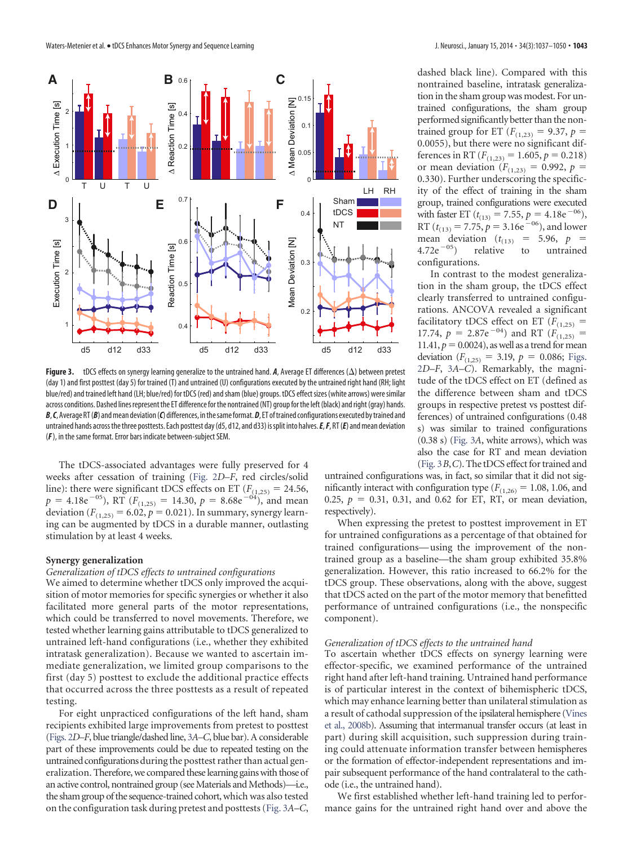

<span id="page-6-0"></span>**Figure 3.** tDCS effects on synergy learning generalize to the untrained hand. *A*, Average ET differences ( ) between pretest (day 1) and first posttest (day 5) for trained (T) and untrained (U) configurations executed by the untrained right hand (RH; light blue/red) and trained left hand (LH; blue/red) for tDCS (red) and sham (blue) groups. tDCS effect sizes (white arrows) were similar across conditions. Dashed lines represent the ET difference for the nontrained (NT) group for the left (black) and right (gray) hands. *B*,*C*,Average RT(*B*) andmean deviation(*C*) differences, inthesameformat.*D*, ET oftrained configurations executed bytrained and untrained hands acrossthethree posttests. Each posttest day(d5, d12, and d33) issplit into halves.*E*,*F*, RT(*E*) andmean deviation (*F*), in the same format. Error bars indicate between-subject SEM.

The tDCS-associated advantages were fully preserved for 4 weeks after cessation of training [\(Fig. 2](#page-4-0)*D–F*, red circles/solid line): there were significant tDCS effects on ET ( $F_{(1,25)} = 24.56$ ,  $p = 4.18e^{-0.5}$ , RT ( $F_{(1,25)} = 14.30$ ,  $p = 8.68e^{-0.4}$ ), and mean deviation  $(F_{(1,25)} = 6.02, p = 0.021)$ . In summary, synergy learning can be augmented by tDCS in a durable manner, outlasting stimulation by at least 4 weeks.

## **Synergy generalization**

# *Generalization of tDCS effects to untrained configurations*

We aimed to determine whether tDCS only improved the acquisition of motor memories for specific synergies or whether it also facilitated more general parts of the motor representations, which could be transferred to novel movements. Therefore, we tested whether learning gains attributable to tDCS generalized to untrained left-hand configurations (i.e., whether they exhibited intratask generalization). Because we wanted to ascertain immediate generalization, we limited group comparisons to the first (day 5) posttest to exclude the additional practice effects that occurred across the three posttests as a result of repeated testing.

For eight unpracticed configurations of the left hand, sham recipients exhibited large improvements from pretest to posttest [\(Figs. 2](#page-4-0)*D–F*, blue triangle/dashed line, [3](#page-6-0)*A–C*, blue bar). A considerable part of these improvements could be due to repeated testing on the untrained configurationsduring the posttest rather than actual generalization. Therefore, we compared these learning gains with those of an active control, nontrained group (see Materials and Methods)-i.e., the sham group of the sequence-trained cohort, which was also tested on the configuration task during pretest and posttests [\(Fig. 3](#page-6-0)*A*–*C*,

dashed black line). Compared with this nontrained baseline, intratask generalization in the sham group was modest. For untrained configurations, the sham group performed significantly better than the nontrained group for ET ( $F_{(1,23)} = 9.37$ ,  $p =$ 0.0055), but there were no significant differences in RT ( $F_{(1,23)} = 1.605$ ,  $p = 0.218$ ) or mean deviation ( $F_{(1,23)} = 0.992$ ,  $p =$ 0.330). Further underscoring the specificity of the effect of training in the sham group, trained configurations were executed with faster ET ( $t_{(13)} = 7.55$ ,  $p = 4.18e^{-06}$ ), RT ( $t_{(13)} = 7.75$ ,  $p = 3.16e^{-0.6}$ ), and lower mean deviation  $(t_{(13)} = 5.96, p = 4.72e^{-0.5})$  relative to untrained  $4.72e^{-0.5}$ configurations.

In contrast to the modest generalization in the sham group, the tDCS effect clearly transferred to untrained configurations. ANCOVA revealed a significant facilitatory tDCS effect on ET ( $F_{(1,25)}$  = 17.74,  $p = 2.87e^{-0.4}$ ) and RT ( $F_{(1,25)}$  = 11.41,  $p = 0.0024$ ), as well as a trend for mean deviation  $(F_{(1,25)} = 3.19, p = 0.086;$  [Figs.](#page-4-0) [2](#page-4-0)*D*–*F*, [3](#page-6-0)*A*–*C*). Remarkably, the magnitude of the tDCS effect on ET (defined as the difference between sham and tDCS groups in respective pretest vs posttest differences) of untrained configurations (0.48 s) was similar to trained configurations (0.38 s) [\(Fig. 3](#page-6-0)*A*, white arrows), which was also the case for RT and mean deviation [\(Fig. 3](#page-6-0)*B*,*C*). The tDCS effect for trained and

untrained configurations was, in fact, so similar that it did not significantly interact with configuration type ( $F_{(1,26)} = 1.08$ , 1.06, and 0.25,  $p = 0.31$ , 0.31, and 0.62 for ET, RT, or mean deviation, respectively).

When expressing the pretest to posttest improvement in ET for untrained configurations as a percentage of that obtained for trained configurations— using the improvement of the nontrained group as a baseline—the sham group exhibited 35.8% generalization. However, this ratio increased to 66.2% for the tDCS group. These observations, along with the above, suggest that tDCS acted on the part of the motor memory that benefitted performance of untrained configurations (i.e., the nonspecific component).

## *Generalization of tDCS effects to the untrained hand*

To ascertain whether tDCS effects on synergy learning were effector-specific, we examined performance of the untrained right hand after left-hand training. Untrained hand performance is of particular interest in the context of bihemispheric tDCS, which may enhance learning better than unilateral stimulation as a result of cathodal suppression of the ipsilateral hemisphere [\(Vines](#page-13-4) [et al., 2008b\)](#page-13-4). Assuming that intermanual transfer occurs (at least in part) during skill acquisition, such suppression during training could attenuate information transfer between hemispheres or the formation of effector-independent representations and impair subsequent performance of the hand contralateral to the cathode (i.e., the untrained hand).

We first established whether left-hand training led to performance gains for the untrained right hand over and above the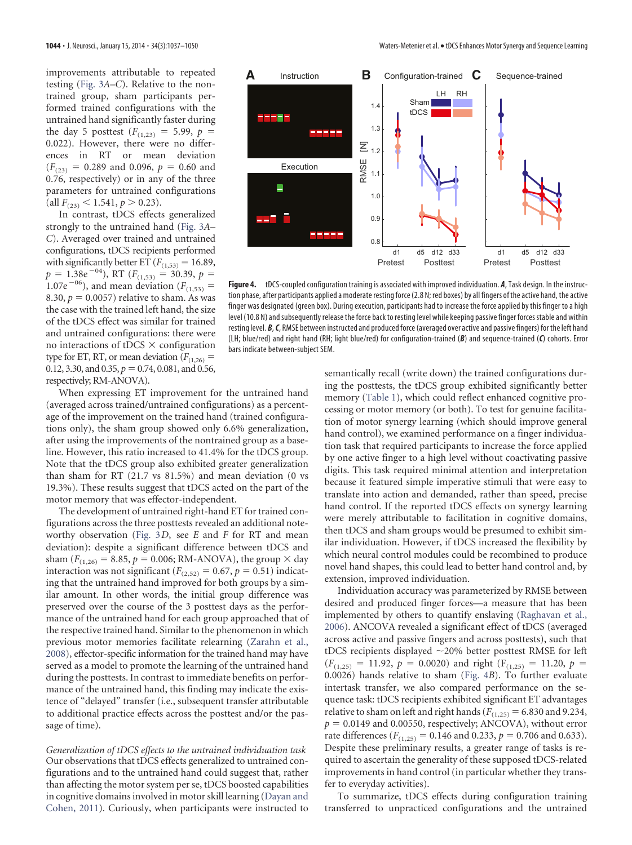improvements attributable to repeated testing [\(Fig. 3](#page-6-0)*A*–*C*). Relative to the nontrained group, sham participants performed trained configurations with the untrained hand significantly faster during the day 5 posttest  $(F_{(1,23)} = 5.99, p =$ 0.022). However, there were no differences in RT or mean deviation  $(F<sub>(23)</sub> = 0.289$  and 0.096,  $p = 0.60$  and 0.76, respectively) or in any of the three parameters for untrained configurations  $\left(\text{all } F_{(23)} < 1.541, p > 0.23\right).$ 

In contrast, tDCS effects generalized strongly to the untrained hand [\(Fig. 3](#page-6-0)*A*– *C*). Averaged over trained and untrained configurations, tDCS recipients performed with significantly better ET  $(F_{(1,53)} = 16.89,$  $p = 1.38e^{-0.4}$ , RT ( $F_{(1,53)} = 30.39$ ,  $p =$ 1.07e<sup> $-06$ </sup>), and mean deviation ( $F_{(1,53)}$  = 8.30,  $p = 0.0057$ ) relative to sham. As was the case with the trained left hand, the size of the tDCS effect was similar for trained and untrained configurations: there were no interactions of tDCS  $\times$  configuration type for ET, RT, or mean deviation  $(F_{(1,26)} =$ 0.12, 3.30, and 0.35,  $p = 0.74$ , 0.081, and 0.56, respectively; RM-ANOVA).



<span id="page-7-0"></span>**Figure 4.** tDCS-coupled configuration training is associated with improved individuation. *A*, Task design. In the instruction phase, after participants applied a moderate resting force (2.8 N; red boxes) by all fingers of the active hand, the active finger was designated (green box). During execution, participants had to increase the force applied by this finger to a high level (10.8 N) and subsequently release the force back to resting level while keeping passive finger forces stable and within resting level. *B*,*C*, RMSE between instructed and produced force (averaged over active and passive fingers) forthe left hand (LH; blue/red) and right hand (RH; light blue/red) for configuration-trained (*B*) and sequence-trained (*C*) cohorts. Error bars indicate between-subject SEM.

When expressing ET improvement for the untrained hand (averaged across trained/untrained configurations) as a percentage of the improvement on the trained hand (trained configurations only), the sham group showed only 6.6% generalization, after using the improvements of the nontrained group as a baseline. However, this ratio increased to 41.4% for the tDCS group. Note that the tDCS group also exhibited greater generalization than sham for RT (21.7 vs 81.5%) and mean deviation (0 vs 19.3%). These results suggest that tDCS acted on the part of the motor memory that was effector-independent.

The development of untrained right-hand ET for trained configurations across the three posttests revealed an additional noteworthy observation [\(Fig. 3](#page-6-0)*D*, see *E* and *F* for RT and mean deviation): despite a significant difference between tDCS and sham  $(F_{(1,26)} = 8.85, p = 0.006; RM-ANOVA)$ , the group  $\times$  day interaction was not significant  $(F_{(2,52)} = 0.67, p = 0.51)$  indicating that the untrained hand improved for both groups by a similar amount. In other words, the initial group difference was preserved over the course of the 3 posttest days as the performance of the untrained hand for each group approached that of the respective trained hand. Similar to the phenomenon in which previous motor memories facilitate relearning [\(Zarahn et al.,](#page-13-13) [2008\)](#page-13-13), effector-specific information for the trained hand may have served as a model to promote the learning of the untrained hand during the posttests. In contrast to immediate benefits on performance of the untrained hand, this finding may indicate the existence of "delayed" transfer (i.e., subsequent transfer attributable to additional practice effects across the posttest and/or the passage of time).

*Generalization of tDCS effects to the untrained individuation task* Our observations that tDCS effects generalized to untrained configurations and to the untrained hand could suggest that, rather than affecting the motor system per se, tDCS boosted capabilities in cognitive domains involved in motor skill learning [\(Dayan and](#page-12-0) [Cohen, 2011\)](#page-12-0). Curiously, when participants were instructed to semantically recall (write down) the trained configurations during the posttests, the tDCS group exhibited significantly better memory [\(Table 1\)](#page-2-0), which could reflect enhanced cognitive processing or motor memory (or both). To test for genuine facilitation of motor synergy learning (which should improve general hand control), we examined performance on a finger individuation task that required participants to increase the force applied by one active finger to a high level without coactivating passive digits. This task required minimal attention and interpretation because it featured simple imperative stimuli that were easy to translate into action and demanded, rather than speed, precise hand control. If the reported tDCS effects on synergy learning were merely attributable to facilitation in cognitive domains, then tDCS and sham groups would be presumed to exhibit similar individuation. However, if tDCS increased the flexibility by which neural control modules could be recombined to produce novel hand shapes, this could lead to better hand control and, by extension, improved individuation.

Individuation accuracy was parameterized by RMSE between desired and produced finger forces—a measure that has been implemented by others to quantify enslaving [\(Raghavan et al.,](#page-12-24) [2006\)](#page-12-24). ANCOVA revealed a significant effect of tDCS (averaged across active and passive fingers and across posttests), such that tDCS recipients displayed  $\sim$  20% better posttest RMSE for left  $(F_{(1,25)} = 11.92, p = 0.0020)$  and right  $(F_{(1,25)} = 11.20, p = 0.0020)$ 0.0026) hands relative to sham [\(Fig. 4](#page-7-0)*B*). To further evaluate intertask transfer, we also compared performance on the sequence task: tDCS recipients exhibited significant ET advantages relative to sham on left and right hands  $(F_{(1,25)} = 6.830$  and 9.234,  $p = 0.0149$  and 0.00550, respectively; ANCOVA), without error rate differences ( $F_{(1,25)} = 0.146$  and 0.233,  $p = 0.706$  and 0.633). Despite these preliminary results, a greater range of tasks is required to ascertain the generality of these supposed tDCS-related improvements in hand control (in particular whether they transfer to everyday activities).

To summarize, tDCS effects during configuration training transferred to unpracticed configurations and the untrained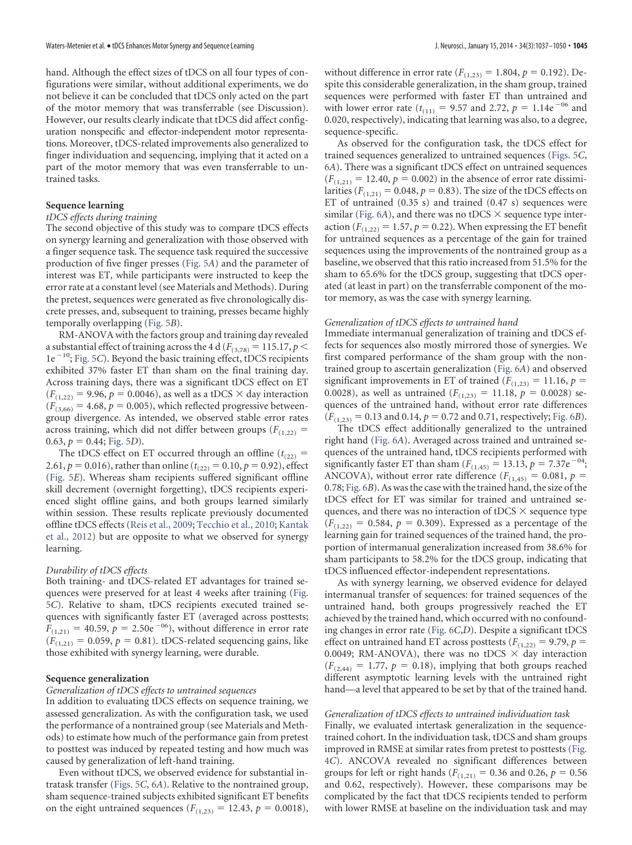hand. Although the effect sizes of tDCS on all four types of configurations were similar, without additional experiments, we do not believe it can be concluded that tDCS only acted on the part of the motor memory that was transferrable (see Discussion). However, our results clearly indicate that tDCS did affect configuration nonspecific and effector-independent motor representations. Moreover, tDCS-related improvements also generalized to finger individuation and sequencing, implying that it acted on a part of the motor memory that was even transferrable to untrained tasks.

# **Sequence learning**

# *tDCS effects during training*

The second objective of this study was to compare tDCS effects on synergy learning and generalization with those observed with a finger sequence task. The sequence task required the successive production of five finger presses [\(Fig. 5](#page-9-0)*A*) and the parameter of interest was ET, while participants were instructed to keep the error rate at a constant level (see Materials and Methods). During the pretest, sequences were generated as five chronologically discrete presses, and, subsequent to training, presses became highly temporally overlapping [\(Fig. 5](#page-9-0)*B*).

RM-ANOVA with the factors group and training day revealed a substantial effect of training across the 4 d ( $F_{(3,78)} = 115.17$ ,  $p <$ 1e<sup>-10</sup>; [Fig. 5](#page-9-0)*C*). Beyond the basic training effect, tDCS recipients exhibited 37% faster ET than sham on the final training day. Across training days, there was a significant tDCS effect on ET  $(F<sub>(1,22)</sub> = 9.96, p = 0.0046)$ , as well as a tDCS  $\times$  day interaction  $(F_{(3,66)} = 4.68, p = 0.005)$ , which reflected progressive betweengroup divergence. As intended, we observed stable error rates across training, which did not differ between groups  $(F_{(1,22)})$  $0.63, p = 0.44$ ; [Fig. 5](#page-9-0)*D*).

The tDCS effect on ET occurred through an offline ( $t_{(22)}$  = 2.61,  $p = 0.016$ ), rather than online ( $t_{(22)} = 0.10$ ,  $p = 0.92$ ), effect [\(Fig. 5](#page-9-0)*E*). Whereas sham recipients suffered significant offline skill decrement (overnight forgetting), tDCS recipients experienced slight offline gains, and both groups learned similarly within session. These results replicate previously documented offline tDCS effects [\(Reis et al., 2009;](#page-12-9) [Tecchio et al., 2010;](#page-13-14) [Kantak](#page-12-25) [et al., 2012\)](#page-12-25) but are opposite to what we observed for synergy learning.

#### *Durability of tDCS effects*

Both training- and tDCS-related ET advantages for trained sequences were preserved for at least 4 weeks after training [\(Fig.](#page-9-0) [5](#page-9-0)*C*). Relative to sham, tDCS recipients executed trained sequences with significantly faster ET (averaged across posttests;  $F_{(1,21)} = 40.59$ ,  $p = 2.50e^{-0.6}$ , without difference in error rate  $(F_{(1,21)} = 0.059, p = 0.81)$ . tDCS-related sequencing gains, like those exhibited with synergy learning, were durable.

# **Sequence generalization**

### *Generalization of tDCS effects to untrained sequences*

In addition to evaluating tDCS effects on sequence training, we assessed generalization. As with the configuration task, we used the performance of a nontrained group (see Materials and Methods) to estimate how much of the performance gain from pretest to posttest was induced by repeated testing and how much was caused by generalization of left-hand training.

Even without tDCS, we observed evidence for substantial intratask transfer [\(Figs. 5](#page-9-0)*C*, 6*A*). Relative to the nontrained group, sham sequence-trained subjects exhibited significant ET benefits on the eight untrained sequences ( $F_{(1,23)} = 12.43$ ,  $p = 0.0018$ ), without difference in error rate ( $F_{(1,23)} = 1.804$ ,  $p = 0.192$ ). Despite this considerable generalization, in the sham group, trained sequences were performed with faster ET than untrained and with lower error rate ( $t_{(11)} = 9.57$  and 2.72,  $p = 1.14e^{-06}$  and 0.020, respectively), indicating that learning was also, to a degree, sequence-specific.

As observed for the configuration task, the tDCS effect for trained sequences generalized to untrained sequences [\(Figs. 5](#page-9-0)*C*, 6*A*). There was a significant tDCS effect on untrained sequences  $(F_{(1,21)} = 12.40, p = 0.002)$  in the absence of error rate dissimilarities  $(F_{(1,21)} = 0.048, p = 0.83)$ . The size of the tDCS effects on ET of untrained (0.35 s) and trained (0.47 s) sequences were similar (Fig.  $6A$ ), and there was no tDCS  $\times$  sequence type interaction  $(F_{(1,22)} = 1.57, p = 0.22)$ . When expressing the ET benefit for untrained sequences as a percentage of the gain for trained sequences using the improvements of the nontrained group as a baseline, we observed that this ratio increased from 51.5% for the sham to 65.6% for the tDCS group, suggesting that tDCS operated (at least in part) on the transferrable component of the motor memory, as was the case with synergy learning.

## *Generalization of tDCS effects to untrained hand*

Immediate intermanual generalization of training and tDCS effects for sequences also mostly mirrored those of synergies. We first compared performance of the sham group with the nontrained group to ascertain generalization (Fig. 6*A*) and observed significant improvements in ET of trained ( $F_{(1,23)} = 11.16$ ,  $p =$ 0.0028), as well as untrained  $(F_{(1,23)} = 11.18, p = 0.0028)$  sequences of the untrained hand, without error rate differences  $(F_{(1,23)} = 0.13$  and 0.14,  $p = 0.72$  and 0.71, respectively; Fig. 6*B*).

The tDCS effect additionally generalized to the untrained right hand (Fig. 6*A*). Averaged across trained and untrained sequences of the untrained hand, tDCS recipients performed with significantly faster ET than sham  $(F_{(1,45)} = 13.13, p = 7.37e^{-04})$ ; ANCOVA), without error rate difference  $(F_{(1,45)} = 0.081, p =$ 0.78; Fig. 6*B*). As was the case with the trained hand, the size of the tDCS effect for ET was similar for trained and untrained sequences, and there was no interaction of tDCS  $\times$  sequence type  $(F_{(1,22)} = 0.584, p = 0.309)$ . Expressed as a percentage of the learning gain for trained sequences of the trained hand, the proportion of intermanual generalization increased from 38.6% for sham participants to 58.2% for the tDCS group, indicating that tDCS influenced effector-independent representations.

As with synergy learning, we observed evidence for delayed intermanual transfer of sequences: for trained sequences of the untrained hand, both groups progressively reached the ET achieved by the trained hand, which occurred with no confounding changes in error rate (Fig. 6*C*,*D*). Despite a significant tDCS effect on untrained hand ET across posttests ( $F_{(1,22)} = 9.79$ ,  $p =$ 0.0049; RM-ANOVA), there was no tDCS  $\times$  day interaction  $(F<sub>(2.44)</sub> = 1.77, p = 0.18)$ , implying that both groups reached different asymptotic learning levels with the untrained right hand—a level that appeared to be set by that of the trained hand.

# *Generalization of tDCS effects to untrained individuation task*

Finally, we evaluated intertask generalization in the sequencetrained cohort. In the individuation task, tDCS and sham groups improved in RMSE at similar rates from pretest to posttests [\(Fig.](#page-7-0) [4](#page-7-0)*C*). ANCOVA revealed no significant differences between groups for left or right hands ( $F_{(1,21)} = 0.36$  and 0.26,  $p = 0.56$ and 0.62, respectively). However, these comparisons may be complicated by the fact that tDCS recipients tended to perform with lower RMSE at baseline on the individuation task and may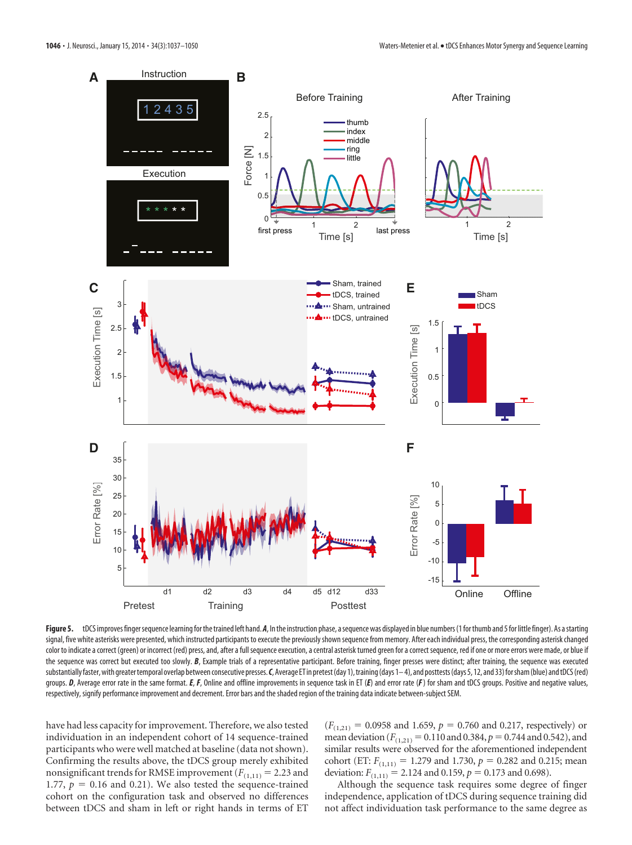

<span id="page-9-0"></span>Figure 5. tDCS improves finger sequence learning for the trained left hand. *A*, In the instruction phase, a sequence was displayed in blue numbers (1 for thumb and 5 for little finger). As a starting signal, five white asterisks were presented, which instructed participants to execute the previously shown sequence from memory. After each individual press, the corresponding asterisk changed color to indicate a correct (green) or incorrect (red) press, and, after a full sequence execution, a central asterisk turned green for a correct sequence, red if one or more errors were made, or blue if the sequence was correct but executed too slowly. *B*, Example trials of a representative participant. Before training, finger presses were distinct; after training, the sequence was executed substantially faster, with greater temporal overlap between consecutive presses. C, Average ET in pretest (day 1), training (days 1–4), and posttests (days 5, 12, and 33) for sham (blue) and tDCS (red) groups. D, Average error rate in the same format. E, F, Online and offline improvements in sequence task in ET (E) and error rate (F) for sham and tDCS groups. Positive and negative values, respectively, signify performance improvement and decrement. Error bars and the shaded region of the training data indicate between-subject SEM.

have had less capacity for improvement. Therefore, we also tested individuation in an independent cohort of 14 sequence-trained participants who were well matched at baseline (data not shown). Confirming the results above, the tDCS group merely exhibited nonsignificant trends for RMSE improvement  $(F_{(1,11)} = 2.23$  and 1.77,  $p = 0.16$  and 0.21). We also tested the sequence-trained cohort on the configuration task and observed no differences between tDCS and sham in left or right hands in terms of ET  $(F_{(1,21)} = 0.0958$  and 1.659,  $p = 0.760$  and 0.217, respectively) or mean deviation ( $F_{(1,21)} = 0.110$  and 0.384,  $p = 0.744$  and 0.542), and similar results were observed for the aforementioned independent cohort (ET:  $F_{(1,11)} = 1.279$  and 1.730,  $p = 0.282$  and 0.215; mean deviation:  $F_{(1,11)} = 2.124$  and 0.159,  $p = 0.173$  and 0.698).

Although the sequence task requires some degree of finger independence, application of tDCS during sequence training did not affect individuation task performance to the same degree as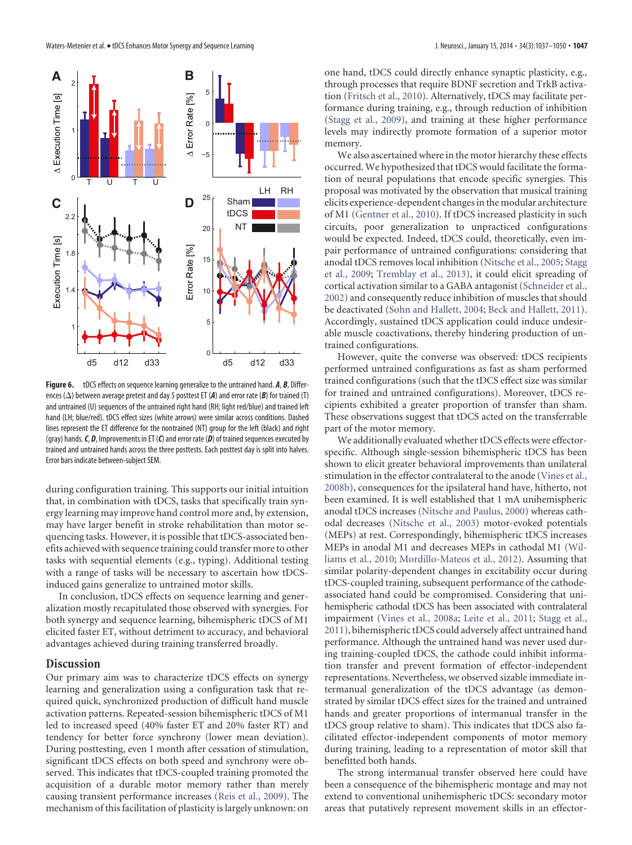

**Figure 6.** tDCS effects on sequence learning generalize to the untrained hand. *A*, *B*, Differences ( ) between average pretest and day 5 posttest ET (*A*) and error rate (*B*) for trained (T) and untrained (U) sequences of the untrained right hand (RH; light red/blue) and trained left hand (LH; blue/red). tDCS effect sizes (white arrows) were similar across conditions. Dashed lines represent the ET difference for the nontrained (NT) group for the left (black) and right (gray) hands.*C*, *D*, Improvements in ET (*C*) and error rate (*D*) of trained sequences executed by trained and untrained hands across the three posttests. Each posttest day is split into halves. Error bars indicate between-subject SEM.

during configuration training. This supports our initial intuition that, in combination with tDCS, tasks that specifically train synergy learning may improve hand control more and, by extension, may have larger benefit in stroke rehabilitation than motor sequencing tasks. However, it is possible that tDCS-associated benefits achieved with sequence training could transfer more to other tasks with sequential elements (e.g., typing). Additional testing with a range of tasks will be necessary to ascertain how tDCSinduced gains generalize to untrained motor skills.

In conclusion, tDCS effects on sequence learning and generalization mostly recapitulated those observed with synergies. For both synergy and sequence learning, bihemispheric tDCS of M1 elicited faster ET, without detriment to accuracy, and behavioral advantages achieved during training transferred broadly.

# **Discussion**

Our primary aim was to characterize tDCS effects on synergy learning and generalization using a configuration task that required quick, synchronized production of difficult hand muscle activation patterns. Repeated-session bihemispheric tDCS of M1 led to increased speed (40% faster ET and 20% faster RT) and tendency for better force synchrony (lower mean deviation). During posttesting, even 1 month after cessation of stimulation, significant tDCS effects on both speed and synchrony were observed. This indicates that tDCS-coupled training promoted the acquisition of a durable motor memory rather than merely causing transient performance increases [\(Reis et al., 2009\)](#page-12-9). The mechanism of this facilitation of plasticity is largely unknown: on

one hand, tDCS could directly enhance synaptic plasticity, e.g., through processes that require BDNF secretion and TrkB activation [\(Fritsch et al., 2010\)](#page-12-8). Alternatively, tDCS may facilitate performance during training, e.g., through reduction of inhibition [\(Stagg et al., 2009\)](#page-13-15), and training at these higher performance levels may indirectly promote formation of a superior motor memory.

We also ascertained where in the motor hierarchy these effects occurred. We hypothesized that tDCS would facilitate the formation of neural populations that encode specific synergies. This proposal was motivated by the observation that musical training elicits experience-dependent changes in the modular architecture of M1 [\(Gentner et al., 2010\)](#page-12-6). If tDCS increased plasticity in such circuits, poor generalization to unpracticed configurations would be expected. Indeed, tDCS could, theoretically, even impair performance of untrained configurations: considering that anodal tDCS removes local inhibition [\(Nitsche et al., 2005;](#page-12-26) [Stagg](#page-13-15) [et al., 2009;](#page-13-15) [Tremblay et al., 2013\)](#page-13-16), it could elicit spreading of cortical activation similar to a GABA antagonist [\(Schneider et al.,](#page-13-17) [2002\)](#page-13-17) and consequently reduce inhibition of muscles that should be deactivated [\(Sohn and Hallett, 2004;](#page-13-18) [Beck and Hallett, 2011\)](#page-11-6). Accordingly, sustained tDCS application could induce undesirable muscle coactivations, thereby hindering production of untrained configurations.

However, quite the converse was observed: tDCS recipients performed untrained configurations as fast as sham performed trained configurations (such that the tDCS effect size was similar for trained and untrained configurations). Moreover, tDCS recipients exhibited a greater proportion of transfer than sham. These observations suggest that tDCS acted on the transferrable part of the motor memory.

We additionally evaluated whether tDCS effects were effectorspecific. Although single-session bihemispheric tDCS has been shown to elicit greater behavioral improvements than unilateral stimulation in the effector contralateral to the anode [\(Vines et al.,](#page-13-4) [2008b\)](#page-13-4), consequences for the ipsilateral hand have, hitherto, not been examined. It is well established that 1 mA unihemispheric anodal tDCS increases [\(Nitsche and Paulus, 2000\)](#page-12-27) whereas cathodal decreases [\(Nitsche et al., 2003\)](#page-12-28) motor-evoked potentials (MEPs) at rest. Correspondingly, bihemispheric tDCS increases MEPs in anodal M1 and decreases MEPs in cathodal M1 [\(Wil](#page-13-19)[liams et al., 2010;](#page-13-19) [Mordillo-Mateos et al., 2012\)](#page-12-29). Assuming that similar polarity-dependent changes in excitability occur during tDCS-coupled training, subsequent performance of the cathodeassociated hand could be compromised. Considering that unihemispheric cathodal tDCS has been associated with contralateral impairment [\(Vines et al., 2008a;](#page-13-20) [Leite et al., 2011;](#page-12-30) [Stagg et al.,](#page-13-7) [2011\)](#page-13-7), bihemispheric tDCS could adversely affect untrained hand performance. Although the untrained hand was never used during training-coupled tDCS, the cathode could inhibit information transfer and prevent formation of effector-independent representations. Nevertheless, we observed sizable immediate intermanual generalization of the tDCS advantage (as demonstrated by similar tDCS effect sizes for the trained and untrained hands and greater proportions of intermanual transfer in the tDCS group relative to sham). This indicates that tDCS also facilitated effector-independent components of motor memory during training, leading to a representation of motor skill that benefitted both hands.

The strong intermanual transfer observed here could have been a consequence of the bihemispheric montage and may not extend to conventional unihemispheric tDCS: secondary motor areas that putatively represent movement skills in an effector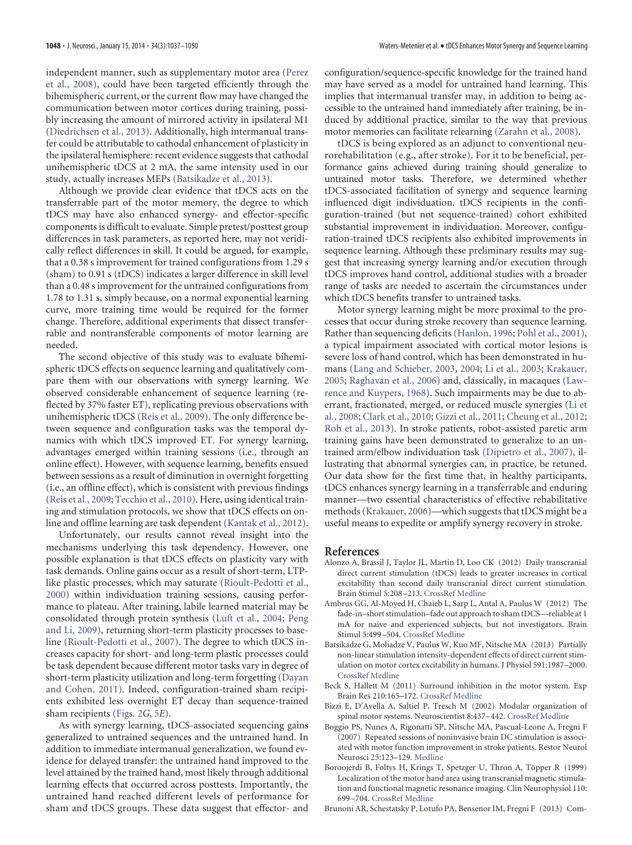independent manner, such as supplementary motor area [\(Perez](#page-12-31) [et al., 2008\)](#page-12-31), could have been targeted efficiently through the bihemispheric current, or the current flow may have changed the communication between motor cortices during training, possibly increasing the amount of mirrored activity in ipsilateral M1 [\(Diedrichsen et al., 2013\)](#page-12-32). Additionally, high intermanual transfer could be attributable to cathodal enhancement of plasticity in the ipsilateral hemisphere: recent evidence suggests that cathodal unihemispheric tDCS at 2 mA, the same intensity used in our study, actually increases MEPs [\(Batsikadze et al., 2013\)](#page-11-7).

Although we provide clear evidence that tDCS acts on the transferrable part of the motor memory, the degree to which tDCS may have also enhanced synergy- and effector-specific components is difficult to evaluate. Simple pretest/posttest group differences in task parameters, as reported here, may not veridically reflect differences in skill. It could be argued, for example, that a 0.38 s improvement for trained configurations from 1.29 s (sham) to 0.91 s (tDCS) indicates a larger difference in skill level than a 0.48 s improvement for the untrained configurations from 1.78 to 1.31 s, simply because, on a normal exponential learning curve, more training time would be required for the former change. Therefore, additional experiments that dissect transferrable and nontransferable components of motor learning are needed.

The second objective of this study was to evaluate bihemispheric tDCS effects on sequence learning and qualitatively compare them with our observations with synergy learning. We observed considerable enhancement of sequence learning (reflected by 37% faster ET), replicating previous observations with unihemispheric tDCS [\(Reis et al., 2009\)](#page-12-9). The only difference between sequence and configuration tasks was the temporal dynamics with which tDCS improved ET. For synergy learning, advantages emerged within training sessions (i.e., through an online effect). However, with sequence learning, benefits ensued between sessions as a result of diminution in overnight forgetting (i.e., an offline effect), which is consistent with previous findings [\(Reis et al., 2009;](#page-12-9) [Tecchio et al., 2010\)](#page-13-14). Here, using identical training and stimulation protocols, we show that tDCS effects on online and offline learning are task dependent [\(Kantak et al., 2012\)](#page-12-25).

Unfortunately, our results cannot reveal insight into the mechanisms underlying this task dependency. However, one possible explanation is that tDCS effects on plasticity vary with task demands. Online gains occur as a result of short-term, LTPlike plastic processes, which may saturate [\(Rioult-Pedotti et al.,](#page-12-33) [2000\)](#page-12-33) within individuation training sessions, causing performance to plateau. After training, labile learned material may be consolidated through protein synthesis [\(Luft et al., 2004;](#page-12-34) [Peng](#page-12-35) [and Li, 2009\)](#page-12-35), returning short-term plasticity processes to baseline [\(Rioult-Pedotti et al., 2007\)](#page-12-36). The degree to which tDCS increases capacity for short- and long-term plastic processes could be task dependent because different motor tasks vary in degree of short-term plasticity utilization and long-term forgetting [\(Dayan](#page-12-0) [and Cohen, 2011\)](#page-12-0). Indeed, configuration-trained sham recipients exhibited less overnight ET decay than sequence-trained sham recipients [\(Figs. 2](#page-4-0)*G*, [5](#page-9-0)*E*).

As with synergy learning, tDCS-associated sequencing gains generalized to untrained sequences and the untrained hand. In addition to immediate intermanual generalization, we found evidence for delayed transfer: the untrained hand improved to the level attained by the trained hand, most likely through additional learning effects that occurred across posttests. Importantly, the untrained hand reached different levels of performance for sham and tDCS groups. These data suggest that effector- and configuration/sequence-specific knowledge for the trained hand may have served as a model for untrained hand learning. This implies that intermanual transfer may, in addition to being accessible to the untrained hand immediately after training, be induced by additional practice, similar to the way that previous motor memories can facilitate relearning [\(Zarahn et al., 2008\)](#page-13-13).

tDCS is being explored as an adjunct to conventional neurorehabilitation (e.g., after stroke). For it to be beneficial, performance gains achieved during training should generalize to untrained motor tasks. Therefore, we determined whether tDCS-associated facilitation of synergy and sequence learning influenced digit individuation. tDCS recipients in the configuration-trained (but not sequence-trained) cohort exhibited substantial improvement in individuation. Moreover, configuration-trained tDCS recipients also exhibited improvements in sequence learning. Although these preliminary results may suggest that increasing synergy learning and/or execution through tDCS improves hand control, additional studies with a broader range of tasks are needed to ascertain the circumstances under which tDCS benefits transfer to untrained tasks.

Motor synergy learning might be more proximal to the processes that occur during stroke recovery than sequence learning. Rather than sequencing deficits [\(Hanlon, 1996;](#page-12-37) [Pohl et al., 2001\)](#page-12-38), a typical impairment associated with cortical motor lesions is severe loss of hand control, which has been demonstrated in humans [\(Lang and Schieber, 2003,](#page-12-11) [2004;](#page-12-12) [Li et al., 2003;](#page-12-23) [Krakauer,](#page-12-13) [2005;](#page-12-13) [Raghavan et al., 2006\)](#page-12-24) and, classically, in macaques [\(Law](#page-12-10)[rence and Kuypers, 1968\)](#page-12-10). Such impairments may be due to aberrant, fractionated, merged, or reduced muscle synergies [\(Li et](#page-12-39) [al., 2008;](#page-12-39) [Clark et al., 2010;](#page-12-40) [Gizzi et al., 2011;](#page-12-41) [Cheung et al., 2012;](#page-12-14) [Roh et al., 2013\)](#page-13-21). In stroke patients, robot-assisted paretic arm training gains have been demonstrated to generalize to an untrained arm/elbow individuation task [\(Dipietro et al., 2007\)](#page-12-42), illustrating that abnormal synergies can, in practice, be retuned. Our data show for the first time that, in healthy participants, tDCS enhances synergy learning in a transferrable and enduring manner—two essential characteristics of effective rehabilitative methods [\(Krakauer, 2006\)](#page-12-43)—which suggests that tDCS might be a useful means to expedite or amplify synergy recovery in stroke.

# <span id="page-11-5"></span>**References**

- Alonzo A, Brassil J, Taylor JL, Martin D, Loo CK (2012) Daily transcranial direct current stimulation (tDCS) leads to greater increases in cortical excitability than second daily transcranial direct current stimulation. Brain Stimul 5:208 –213. [CrossRef](http://dx.doi.org/10.1016/j.brs.2011.04.006) [Medline](http://www.ncbi.nlm.nih.gov/pubmed/22037139)
- <span id="page-11-2"></span>Ambrus GG, Al-Moyed H, Chaieb L, Sarp L, Antal A, Paulus W (2012) The fade-in–short stimulation–fade out approach to sham tDCS—reliable at 1 mA for naive and experienced subjects, but not investigators. Brain Stimul 5:499 –504. [CrossRef](http://dx.doi.org/10.1016/j.brs.2011.12.001) [Medline](http://www.ncbi.nlm.nih.gov/pubmed/22405745)
- <span id="page-11-7"></span>Batsikadze G, Moliadze V, Paulus W, Kuo MF, Nitsche MA (2013) Partially non-linear stimulation intensity-dependent effects of direct current stimulation on motor cortex excitability in humans. J Physiol 591:1987–2000. [CrossRef](http://dx.doi.org/10.1113/jphysiol.2012.249730) [Medline](http://www.ncbi.nlm.nih.gov/pubmed/23339180)
- <span id="page-11-6"></span>Beck S, Hallett M (2011) Surround inhibition in the motor system. Exp Brain Res 210:165–172. [CrossRef](http://dx.doi.org/10.1007/s00221-011-2610-6) [Medline](http://www.ncbi.nlm.nih.gov/pubmed/21424259)
- <span id="page-11-0"></span>Bizzi E, D'Avella A, Saltiel P, Tresch M (2002) Modular organization of spinal motor systems. Neuroscientist 8:437–442. [CrossRef](http://dx.doi.org/10.1177/107385802236969) [Medline](http://www.ncbi.nlm.nih.gov/pubmed/12374428)
- <span id="page-11-4"></span>Boggio PS, Nunes A, Rigonatti SP, Nitsche MA, Pascual-Leone A, Fregni F (2007) Repeated sessions of noninvasive brain DC stimulation is associated with motor function improvement in stroke patients. Restor Neurol Neurosci 25:123–129. [Medline](http://www.ncbi.nlm.nih.gov/pubmed/17726271)
- <span id="page-11-1"></span>Boroojerdi B, Foltys H, Krings T, Spetzger U, Thron A, Töpper R (1999) Localization of the motor hand area using transcranial magnetic stimulation and functional magnetic resonance imaging. Clin Neurophysiol 110: 699 –704. [CrossRef](http://dx.doi.org/10.1016/S1388-2457(98)00027-3) [Medline](http://www.ncbi.nlm.nih.gov/pubmed/10378741)

<span id="page-11-3"></span>Brunoni AR, Schestatsky P, Lotufo PA, Bensenor IM, Fregni F (2013) Com-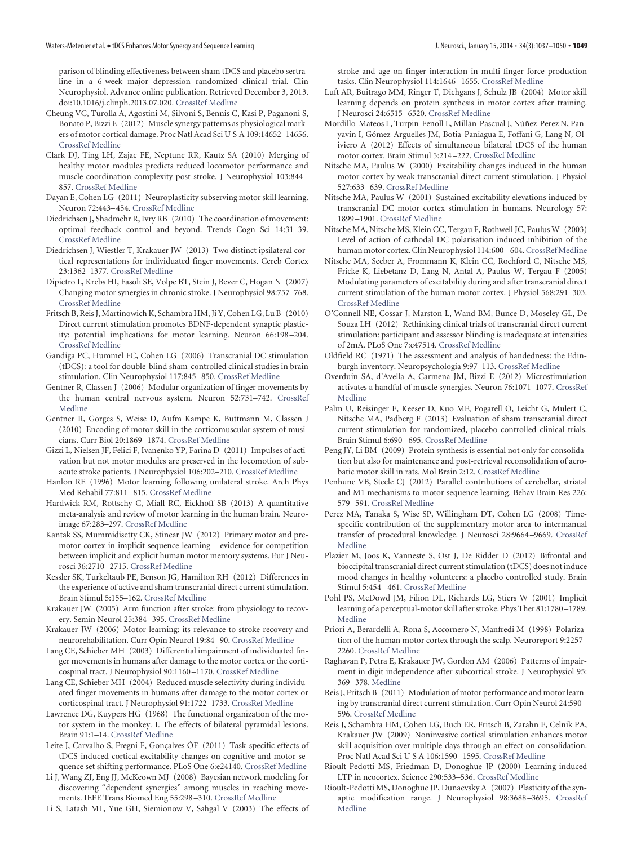parison of blinding effectiveness between sham tDCS and placebo sertraline in a 6-week major depression randomized clinical trial. Clin Neurophysiol. Advance online publication. Retrieved December 3, 2013. doi:10.1016/j.clinph.2013.07.020. [CrossRef](http://dx.doi.org/10.1016/j.clinph.2013.07.020) [Medline](http://www.ncbi.nlm.nih.gov/pubmed/23994192)

- <span id="page-12-14"></span>Cheung VC, Turolla A, Agostini M, Silvoni S, Bennis C, Kasi P, Paganoni S, Bonato P, Bizzi E (2012) Muscle synergy patterns as physiological markers of motor cortical damage. Proc Natl Acad Sci U S A 109:14652–14656. [CrossRef](http://dx.doi.org/10.1073/pnas.1212056109) [Medline](http://www.ncbi.nlm.nih.gov/pubmed/22908288)
- <span id="page-12-40"></span>Clark DJ, Ting LH, Zajac FE, Neptune RR, Kautz SA (2010) Merging of healthy motor modules predicts reduced locomotor performance and muscle coordination complexity post-stroke. J Neurophysiol 103:844 – 857. [CrossRef](http://dx.doi.org/10.1152/jn.00825.2009) [Medline](http://www.ncbi.nlm.nih.gov/pubmed/20007501)
- <span id="page-12-0"></span>Dayan E, Cohen LG (2011) Neuroplasticity subserving motor skill learning. Neuron 72:443–454. [CrossRef](http://dx.doi.org/10.1016/j.neuron.2011.10.008) [Medline](http://www.ncbi.nlm.nih.gov/pubmed/22078504)
- <span id="page-12-3"></span>Diedrichsen J, Shadmehr R, Ivry RB (2010) The coordination of movement: optimal feedback control and beyond. Trends Cogn Sci 14:31–39. [CrossRef](http://dx.doi.org/10.1016/j.tics.2009.11.004) [Medline](http://www.ncbi.nlm.nih.gov/pubmed/20005767)
- <span id="page-12-32"></span>Diedrichsen J, Wiestler T, Krakauer JW (2013) Two distinct ipsilateral cortical representations for individuated finger movements. Cereb Cortex 23:1362–1377. [CrossRef](http://dx.doi.org/10.1093/cercor/bhs120) [Medline](http://www.ncbi.nlm.nih.gov/pubmed/22610393)
- <span id="page-12-42"></span>Dipietro L, Krebs HI, Fasoli SE, Volpe BT, Stein J, Bever C, Hogan N (2007) Changing motor synergies in chronic stroke. J Neurophysiol 98:757–768. [CrossRef](http://dx.doi.org/10.1152/jn.01295.2006) [Medline](http://www.ncbi.nlm.nih.gov/pubmed/17553941)
- <span id="page-12-8"></span>Fritsch B, Reis J, Martinowich K, Schambra HM, Ji Y, Cohen LG, Lu B (2010) Direct current stimulation promotes BDNF-dependent synaptic plasticity: potential implications for motor learning. Neuron 66:198 –204. [CrossRef](http://dx.doi.org/10.1016/j.neuron.2010.03.035) [Medline](http://www.ncbi.nlm.nih.gov/pubmed/20434997)
- <span id="page-12-16"></span>Gandiga PC, Hummel FC, Cohen LG (2006) Transcranial DC stimulation (tDCS): a tool for double-blind sham-controlled clinical studies in brain stimulation. Clin Neurophysiol 117:845–850. [CrossRef](http://dx.doi.org/10.1016/j.clinph.2005.12.003) [Medline](http://www.ncbi.nlm.nih.gov/pubmed/16427357)
- <span id="page-12-5"></span>Gentner R, Classen J (2006) Modular organization of finger movements by the human central nervous system. Neuron 52:731–742. [CrossRef](http://dx.doi.org/10.1016/j.neuron.2006.09.038) [Medline](http://www.ncbi.nlm.nih.gov/pubmed/17114055)
- <span id="page-12-6"></span>Gentner R, Gorges S, Weise D, Aufm Kampe K, Buttmann M, Classen J (2010) Encoding of motor skill in the corticomuscular system of musicians. Curr Biol 20:1869 –1874. [CrossRef](http://dx.doi.org/10.1016/j.cub.2010.09.045) [Medline](http://www.ncbi.nlm.nih.gov/pubmed/20951047)
- <span id="page-12-41"></span>Gizzi L, Nielsen JF, Felici F, Ivanenko YP, Farina D (2011) Impulses of activation but not motor modules are preserved in the locomotion of subacute stroke patients. J Neurophysiol 106:202–210. [CrossRef](http://dx.doi.org/10.1152/jn.00727.2010) [Medline](http://www.ncbi.nlm.nih.gov/pubmed/21511705)
- <span id="page-12-37"></span>Hanlon RE (1996) Motor learning following unilateral stroke. Arch Phys Med Rehabil 77:811–815. [CrossRef](http://dx.doi.org/10.1016/S0003-9993(96)90262-2) [Medline](http://www.ncbi.nlm.nih.gov/pubmed/8702377)
- <span id="page-12-2"></span>Hardwick RM, Rottschy C, Miall RC, Eickhoff SB (2013) A quantitative meta-analysis and review of motor learning in the human brain. Neuroimage 67:283–297. [CrossRef](http://dx.doi.org/10.1016/j.neuroimage.2012.11.020) [Medline](http://www.ncbi.nlm.nih.gov/pubmed/23194819)
- <span id="page-12-25"></span>Kantak SS, Mummidisetty CK, Stinear JW (2012) Primary motor and premotor cortex in implicit sequence learning— evidence for competition between implicit and explicit human motor memory systems. Eur J Neurosci 36:2710 –2715. [CrossRef](http://dx.doi.org/10.1111/j.1460-9568.2012.08175.x) [Medline](http://www.ncbi.nlm.nih.gov/pubmed/22758604)
- <span id="page-12-17"></span>Kessler SK, Turkeltaub PE, Benson JG, Hamilton RH (2012) Differences in the experience of active and sham transcranial direct current stimulation. Brain Stimul 5:155–162. [CrossRef](http://dx.doi.org/10.1016/j.brs.2011.02.007) [Medline](http://www.ncbi.nlm.nih.gov/pubmed/22037128)
- <span id="page-12-13"></span>Krakauer JW (2005) Arm function after stroke: from physiology to recovery. Semin Neurol 25:384 –395. [CrossRef](http://dx.doi.org/10.1055/s-2005-923533) [Medline](http://www.ncbi.nlm.nih.gov/pubmed/16341995)
- <span id="page-12-43"></span>Krakauer JW (2006) Motor learning: its relevance to stroke recovery and neurorehabilitation. Curr Opin Neurol 19:84 –90. [CrossRef](http://dx.doi.org/10.1097/01.wco.0000200544.29915.cc) [Medline](http://www.ncbi.nlm.nih.gov/pubmed/16415682)
- <span id="page-12-11"></span>Lang CE, Schieber MH (2003) Differential impairment of individuated finger movements in humans after damage to the motor cortex or the corticospinal tract. J Neurophysiol 90:1160 –1170. [CrossRef](http://dx.doi.org/10.1152/jn.00130.2003) [Medline](http://www.ncbi.nlm.nih.gov/pubmed/12660350)
- <span id="page-12-12"></span>Lang CE, Schieber MH (2004) Reduced muscle selectivity during individuated finger movements in humans after damage to the motor cortex or corticospinal tract. J Neurophysiol 91:1722–1733. [CrossRef](http://dx.doi.org/10.1152/jn.00805.2003) [Medline](http://www.ncbi.nlm.nih.gov/pubmed/14668295)
- <span id="page-12-10"></span>Lawrence DG, Kuypers HG (1968) The functional organization of the motor system in the monkey. I. The effects of bilateral pyramidal lesions. Brain 91:1–14. [CrossRef](http://dx.doi.org/10.1093/brain/91.1.1) [Medline](http://www.ncbi.nlm.nih.gov/pubmed/4966862)
- <span id="page-12-30"></span>Leite J, Carvalho S, Fregni F, Gonçalves ÓF (2011) Task-specific effects of tDCS-induced cortical excitability changes on cognitive and motor sequence set shifting performance. PLoS One 6:e24140. [CrossRef](http://dx.doi.org/10.1371/journal.pone.0024140) [Medline](http://www.ncbi.nlm.nih.gov/pubmed/21909415)
- <span id="page-12-39"></span>Li J, Wang ZJ, Eng JJ, McKeown MJ (2008) Bayesian network modeling for discovering "dependent synergies" among muscles in reaching movements. IEEE Trans Biomed Eng 55:298 –310. [CrossRef](http://dx.doi.org/10.1109/TBME.2007.897811) [Medline](http://www.ncbi.nlm.nih.gov/pubmed/18232374)
- <span id="page-12-23"></span>Li S, Latash ML, Yue GH, Siemionow V, Sahgal V (2003) The effects of

stroke and age on finger interaction in multi-finger force production tasks. Clin Neurophysiol 114:1646 –1655. [CrossRef](http://dx.doi.org/10.1016/S1388-2457(03)00164-0) [Medline](http://www.ncbi.nlm.nih.gov/pubmed/12948793)

- <span id="page-12-34"></span>Luft AR, Buitrago MM, Ringer T, Dichgans J, Schulz JB (2004) Motor skill learning depends on protein synthesis in motor cortex after training. J Neurosci 24:6515–6520. [CrossRef](http://dx.doi.org/10.1523/JNEUROSCI.1034-04.2004) [Medline](http://www.ncbi.nlm.nih.gov/pubmed/15269262)
- <span id="page-12-29"></span>Mordillo-Mateos L, Turpin-Fenoll L, Millán-Pascual J, Núñez-Perez N, Panyavin I, Gómez-Arguelles JM, Botia-Paniagua E, Foffani G, Lang N, Oliviero A (2012) Effects of simultaneous bilateral tDCS of the human motor cortex. Brain Stimul 5:214 –222. [CrossRef](http://dx.doi.org/10.1016/j.brs.2011.05.001) [Medline](http://www.ncbi.nlm.nih.gov/pubmed/21782545)
- <span id="page-12-27"></span>Nitsche MA, Paulus W (2000) Excitability changes induced in the human motor cortex by weak transcranial direct current stimulation. J Physiol 527:633–639. [CrossRef](http://dx.doi.org/10.1111/j.1469-7793.2000.t01-1-00633.x) [Medline](http://www.ncbi.nlm.nih.gov/pubmed/10990547)
- <span id="page-12-22"></span>Nitsche MA, Paulus W (2001) Sustained excitability elevations induced by transcranial DC motor cortex stimulation in humans. Neurology 57: 1899 –1901. [CrossRef](http://dx.doi.org/10.1212/WNL.57.10.1899) [Medline](http://www.ncbi.nlm.nih.gov/pubmed/11723286)
- <span id="page-12-28"></span>Nitsche MA, Nitsche MS, Klein CC, Tergau F, Rothwell JC, Paulus W (2003) Level of action of cathodal DC polarisation induced inhibition of the human motor cortex. Clin Neurophysiol 114:600-604. [CrossRef](http://dx.doi.org/10.1016/S1388-2457(02)00412-1) [Medline](http://www.ncbi.nlm.nih.gov/pubmed/12686268)
- <span id="page-12-26"></span>Nitsche MA, Seeber A, Frommann K, Klein CC, Rochford C, Nitsche MS, Fricke K, Liebetanz D, Lang N, Antal A, Paulus W, Tergau F (2005) Modulating parameters of excitability during and after transcranial direct current stimulation of the human motor cortex. J Physiol 568:291–303. [CrossRef](http://dx.doi.org/10.1113/jphysiol.2005.092429) [Medline](http://www.ncbi.nlm.nih.gov/pubmed/16002441)
- <span id="page-12-18"></span>O'Connell NE, Cossar J, Marston L, Wand BM, Bunce D, Moseley GL, De Souza LH (2012) Rethinking clinical trials of transcranial direct current stimulation: participant and assessor blinding is inadequate at intensities of 2mA. PLoS One 7:e47514. [CrossRef](http://dx.doi.org/10.1371/journal.pone.0047514) [Medline](http://www.ncbi.nlm.nih.gov/pubmed/23082174)
- <span id="page-12-15"></span>Oldfield RC (1971) The assessment and analysis of handedness: the Edinburgh inventory. Neuropsychologia 9:97–113. [CrossRef](http://dx.doi.org/10.1016/0028-3932(71)90067-4) [Medline](http://www.ncbi.nlm.nih.gov/pubmed/5146491)
- <span id="page-12-4"></span>Overduin SA, d'Avella A, Carmena JM, Bizzi E (2012) Microstimulation activates a handful of muscle synergies. Neuron 76:1071–1077. [CrossRef](http://dx.doi.org/10.1016/j.neuron.2012.10.018) [Medline](http://www.ncbi.nlm.nih.gov/pubmed/23259944)
- <span id="page-12-19"></span>Palm U, Reisinger E, Keeser D, Kuo MF, Pogarell O, Leicht G, Mulert C, Nitsche MA, Padberg F (2013) Evaluation of sham transcranial direct current stimulation for randomized, placebo-controlled clinical trials. Brain Stimul 6:690 –695. [CrossRef](http://dx.doi.org/10.1016/j.brs.2013.01.005) [Medline](http://www.ncbi.nlm.nih.gov/pubmed/23415938)
- <span id="page-12-35"></span>Peng JY, Li BM (2009) Protein synthesis is essential not only for consolidation but also for maintenance and post-retrieval reconsolidation of acrobatic motor skill in rats. Mol Brain 2:12. [CrossRef](http://dx.doi.org/10.1186/1756-6606-2-12) [Medline](http://www.ncbi.nlm.nih.gov/pubmed/19476636)
- <span id="page-12-1"></span>Penhune VB, Steele CJ (2012) Parallel contributions of cerebellar, striatal and M1 mechanisms to motor sequence learning. Behav Brain Res 226: 579 –591. [CrossRef](http://dx.doi.org/10.1016/j.bbr.2011.09.044) [Medline](http://www.ncbi.nlm.nih.gov/pubmed/22004979)
- <span id="page-12-31"></span>Perez MA, Tanaka S, Wise SP, Willingham DT, Cohen LG (2008) Timespecific contribution of the supplementary motor area to intermanual transfer of procedural knowledge. J Neurosci 28:9664 –9669. [CrossRef](http://dx.doi.org/10.1523/JNEUROSCI.3416-08.2008) [Medline](http://www.ncbi.nlm.nih.gov/pubmed/18815252)
- <span id="page-12-20"></span>Plazier M, Joos K, Vanneste S, Ost J, De Ridder D (2012) Bifrontal and bioccipital transcranial direct current stimulation (tDCS) does not induce mood changes in healthy volunteers: a placebo controlled study. Brain Stimul 5:454 –461. [CrossRef](http://dx.doi.org/10.1016/j.brs.2011.07.005) [Medline](http://www.ncbi.nlm.nih.gov/pubmed/21962976)
- <span id="page-12-38"></span>Pohl PS, McDowd JM, Filion DL, Richards LG, Stiers W (2001) Implicit learning of a perceptual-motor skill after stroke. Phys Ther 81:1780 –1789. [Medline](http://www.ncbi.nlm.nih.gov/pubmed/11694171)
- <span id="page-12-7"></span>Priori A, Berardelli A, Rona S, Accornero N, Manfredi M (1998) Polarization of the human motor cortex through the scalp. Neuroreport 9:2257– 2260. [CrossRef](http://dx.doi.org/10.1097/00001756-199807130-00020) [Medline](http://www.ncbi.nlm.nih.gov/pubmed/9694210)
- <span id="page-12-24"></span>Raghavan P, Petra E, Krakauer JW, Gordon AM (2006) Patterns of impairment in digit independence after subcortical stroke. J Neurophysiol 95: 369 –378. [Medline](http://www.ncbi.nlm.nih.gov/pubmed/16207778)
- <span id="page-12-21"></span>Reis J, Fritsch B (2011) Modulation of motor performance and motor learning by transcranial direct current stimulation. Curr Opin Neurol 24:590 – 596. [CrossRef](http://dx.doi.org/10.1097/WCO.0b013e32834c3db0) [Medline](http://www.ncbi.nlm.nih.gov/pubmed/21968548)
- <span id="page-12-9"></span>Reis J, Schambra HM, Cohen LG, Buch ER, Fritsch B, Zarahn E, Celnik PA, Krakauer JW (2009) Noninvasive cortical stimulation enhances motor skill acquisition over multiple days through an effect on consolidation. Proc Natl Acad Sci U S A 106:1590 –1595. [CrossRef](http://dx.doi.org/10.1073/pnas.0805413106) [Medline](http://www.ncbi.nlm.nih.gov/pubmed/19164589)
- <span id="page-12-33"></span>Rioult-Pedotti MS, Friedman D, Donoghue JP (2000) Learning-induced LTP in neocortex. Science 290:533–536. [CrossRef](http://dx.doi.org/10.1126/science.290.5491.533) [Medline](http://www.ncbi.nlm.nih.gov/pubmed/11039938)
- <span id="page-12-36"></span>Rioult-Pedotti MS, Donoghue JP, Dunaevsky A (2007) Plasticity of the synaptic modification range. J Neurophysiol 98:3688 –3695. [CrossRef](http://dx.doi.org/10.1152/jn.00164.2007) [Medline](http://www.ncbi.nlm.nih.gov/pubmed/17913995)